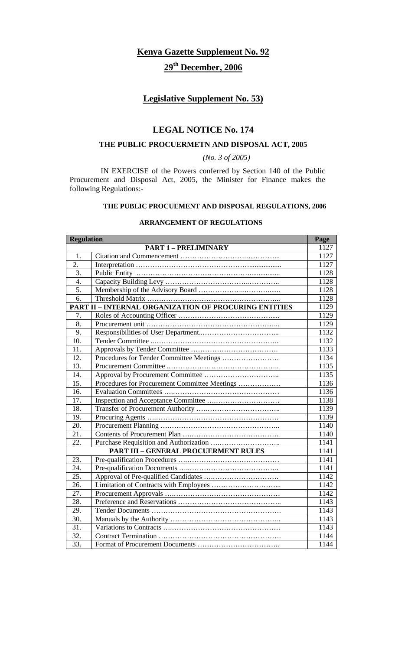# **Kenya Gazette Supplement No. 92 29th December, 2006**

## **Legislative Supplement No. 53)**

## **LEGAL NOTICE No. 174**

## **THE PUBLIC PROCUERMETN AND DISPOSAL ACT, 2005**

*(No. 3 of 2005)* 

 IN EXERCISE of the Powers conferred by Section 140 of the Public Procurement and Disposal Act, 2005, the Minister for Finance makes the following Regulations:-

## **THE PUBLIC PROCUEMENT AND DISPOSAL REGULATIONS, 2006**

## **ARRANGEMENT OF REGULATIONS**

| <b>Regulation</b> |                                                              | Page |
|-------------------|--------------------------------------------------------------|------|
|                   | <b>PART 1 - PRELIMINARY</b>                                  | 1127 |
| 1.                |                                                              | 1127 |
| $\overline{2}$ .  |                                                              | 1127 |
| $\overline{3}$ .  |                                                              | 1128 |
| $\overline{4}$ .  |                                                              | 1128 |
| 5.                |                                                              | 1128 |
| $\overline{6}$ .  |                                                              | 1128 |
|                   | <b>PART II - INTERNAL ORGANIZATION OF PROCURING ENTITIES</b> | 1129 |
| 7.                |                                                              | 1129 |
| 8.                |                                                              | 1129 |
| 9.                |                                                              | 1132 |
| 10.               |                                                              | 1132 |
| 11.               |                                                              | 1133 |
| 12.               | Procedures for Tender Committee Meetings                     | 1134 |
| 13.               |                                                              | 1135 |
| 14.               |                                                              | 1135 |
| 15.               | Procedures for Procurement Committee Meetings                | 1136 |
| 16.               |                                                              | 1136 |
| 17.               |                                                              | 1138 |
| 18.               |                                                              | 1139 |
| 19.               |                                                              | 1139 |
| 20.               |                                                              | 1140 |
| 21.               |                                                              | 1140 |
| 22.               |                                                              | 1141 |
|                   | <b>PART III - GENERAL PROCUERMENT RULES</b>                  | 1141 |
| 23.               |                                                              | 1141 |
| 24.               |                                                              | 1141 |
| 25.               |                                                              | 1142 |
| 26.               |                                                              | 1142 |
| 27.               |                                                              | 1142 |
| 28.               |                                                              | 1143 |
| 29.               |                                                              | 1143 |
| $\overline{30}$ . |                                                              | 1143 |
| 31.               |                                                              | 1143 |
| 32.               |                                                              | 1144 |
| $\overline{33}$ . |                                                              | 1144 |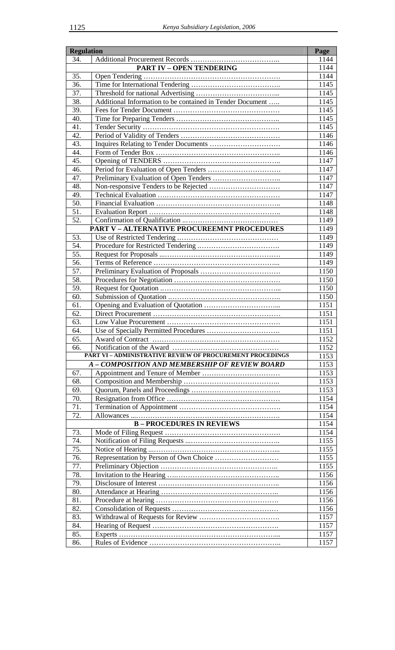| <b>Regulation</b> |                                                                  | Page         |
|-------------------|------------------------------------------------------------------|--------------|
| 34.               |                                                                  | 1144         |
|                   | <b>PART IV - OPEN TENDERING</b>                                  | 1144         |
| 35.               |                                                                  | 1144         |
| 36.               |                                                                  | 1145         |
| 37.               |                                                                  | 1145         |
| 38.               | Additional Information to be contained in Tender Document        | 1145         |
| 39.               |                                                                  | 1145         |
| 40.               |                                                                  | 1145         |
| 41.               |                                                                  | 1145         |
| 42.               |                                                                  | 1146         |
| 43.               |                                                                  | 1146         |
| 44.               |                                                                  | 1146         |
| 45.               |                                                                  | 1147         |
| 46.               |                                                                  | 1147         |
| 47.               |                                                                  | 1147         |
| 48.               |                                                                  | 1147         |
| 49.               |                                                                  | 1147         |
| $\overline{50}$ . |                                                                  | 1148         |
| 51.               |                                                                  | 1148         |
| 52.               |                                                                  | 1149         |
|                   | <b>PART V - ALTERNATIVE PROCUREEMNT PROCEDURES</b>               | 1149         |
| 53.               |                                                                  | 1149         |
| 54.               |                                                                  | 1149         |
| $\overline{55}$ . |                                                                  | 1149         |
| $\overline{56}$ . |                                                                  | 1149         |
| 57.               |                                                                  | 1150         |
| 58.               |                                                                  | 1150         |
| 59.               |                                                                  | 1150         |
| 60.               |                                                                  | 1150         |
| 61.               |                                                                  | 1151         |
| 62.               |                                                                  | 1151         |
| 63.<br>64.        |                                                                  | 1151<br>1151 |
| 65.               |                                                                  | 1152         |
| 66.               |                                                                  | 1152         |
|                   | <b>PART VI - ADMINISTRATIVE REVIEW OF PROCUREMENT PROCEDINGS</b> | 1153         |
|                   | A - COMPOSITION AND MEMBERSHIP OF REVIEW BOARD                   | 1153         |
| 67.               |                                                                  | 1153         |
| 68.               |                                                                  | 1153         |
| 69.               |                                                                  | 1153         |
| 70.               |                                                                  | 1154         |
| 71.               |                                                                  | 1154         |
| 72.               |                                                                  | 1154         |
|                   | <b>B-PROCEDURES IN REVIEWS</b>                                   | 1154         |
| 73.               |                                                                  | 1154         |
| 74.               |                                                                  | 1155         |
| 75.               |                                                                  | 1155         |
| 76.               |                                                                  | 1155         |
| 77.               |                                                                  | 1155         |
| 78.               |                                                                  | 1156         |
| 79.               |                                                                  | 1156         |
| 80.               |                                                                  | 1156         |
| 81.               |                                                                  | 1156         |
| 82.               |                                                                  | 1156         |
| 83.               |                                                                  | 1157         |
| 84.               |                                                                  | 1157         |
| 85.               |                                                                  | 1157         |
| 86.               |                                                                  | 1157         |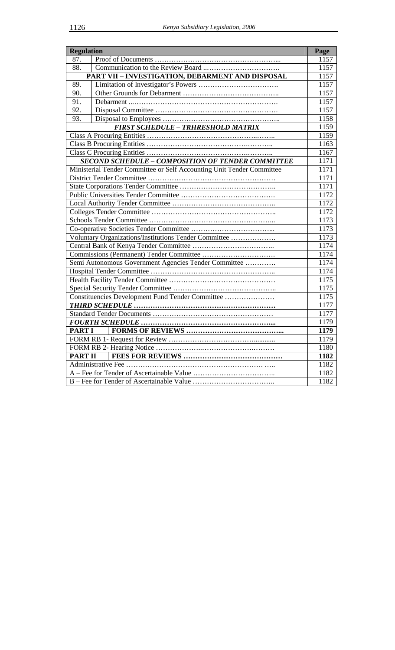| <b>Regulation</b> |                                                                       | Page |
|-------------------|-----------------------------------------------------------------------|------|
| 87.               |                                                                       | 1157 |
| 88.               |                                                                       | 1157 |
|                   | PART VII - INVESTIGATION, DEBARMENT AND DISPOSAL                      | 1157 |
| 89.               |                                                                       | 1157 |
| 90.               |                                                                       | 1157 |
| 91.               |                                                                       | 1157 |
| 92.               |                                                                       | 1157 |
| 93.               |                                                                       | 1158 |
|                   | <b>FIRST SCHEDULE - TRHRESHOLD MATRIX</b>                             | 1159 |
|                   |                                                                       | 1159 |
|                   |                                                                       | 1163 |
|                   |                                                                       | 1167 |
|                   | <b>SECOND SCHEDULE - COMPOSITION OF TENDER COMMITTEE</b>              | 1171 |
|                   | Ministerial Tender Committee or Self Accounting Unit Tender Committee | 1171 |
|                   |                                                                       | 1171 |
|                   |                                                                       | 1171 |
|                   |                                                                       | 1172 |
|                   |                                                                       | 1172 |
|                   |                                                                       | 1172 |
|                   |                                                                       | 1173 |
|                   |                                                                       | 1173 |
|                   | Voluntary Organizations/Institutions Tender Committee                 | 1173 |
|                   |                                                                       | 1174 |
|                   |                                                                       | 1174 |
|                   | Semi Autonomous Government Agencies Tender Committee                  | 1174 |
|                   |                                                                       | 1174 |
|                   |                                                                       | 1175 |
|                   |                                                                       | 1175 |
|                   | Constituencies Development Fund Tender Committee                      | 1175 |
|                   |                                                                       | 1177 |
|                   |                                                                       | 1177 |
|                   |                                                                       | 1179 |
| <b>PART I</b>     |                                                                       | 1179 |
|                   |                                                                       | 1179 |
|                   |                                                                       | 1180 |
| <b>PART II</b>    |                                                                       | 1182 |
|                   | Administrative Fee                                                    | 1182 |
|                   |                                                                       | 1182 |
|                   |                                                                       | 1182 |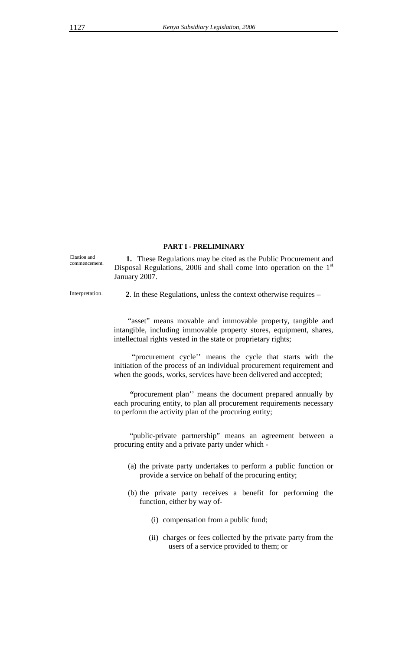Citation and commencement.

**1.** These Regulations may be cited as the Public Procurement and Disposal Regulations, 2006 and shall come into operation on the 1<sup>st</sup> January 2007.

 **PART I - PRELIMINARY** 

Interpretation. **2**. In these Regulations, unless the context otherwise requires –

"asset" means movable and immovable property, tangible and intangible, including immovable property stores, equipment, shares, intellectual rights vested in the state or proprietary rights;

 "procurement cycle'' means the cycle that starts with the initiation of the process of an individual procurement requirement and when the goods, works, services have been delivered and accepted;

 **"**procurement plan'' means the document prepared annually by each procuring entity, to plan all procurement requirements necessary to perform the activity plan of the procuring entity;

"public-private partnership" means an agreement between a procuring entity and a private party under which -

- (a) the private party undertakes to perform a public function or provide a service on behalf of the procuring entity;
- (b) the private party receives a benefit for performing the function, either by way of-
	- (i) compensation from a public fund;
	- (ii) charges or fees collected by the private party from the users of a service provided to them; or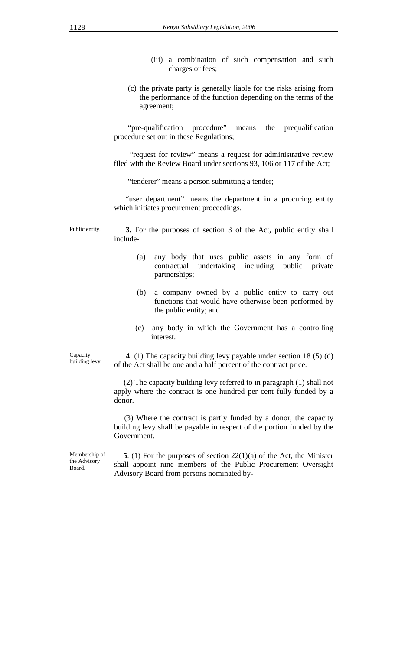- (iii) a combination of such compensation and such charges or fees;
- (c) the private party is generally liable for the risks arising from the performance of the function depending on the terms of the agreement;

"pre-qualification procedure" means the prequalification procedure set out in these Regulations;

"request for review" means a request for administrative review filed with the Review Board under sections 93, 106 or 117 of the Act;

"tenderer" means a person submitting a tender;

 "user department" means the department in a procuring entity which initiates procurement proceedings.

Public entity. **3.** For the purposes of section 3 of the Act, public entity shall include-

- (a) any body that uses public assets in any form of contractual undertaking including public private partnerships;
- (b) a company owned by a public entity to carry out functions that would have otherwise been performed by the public entity; and
- (c) any body in which the Government has a controlling interest.

Capacity building levy.

 **4**. (1) The capacity building levy payable under section 18 (5) (d) of the Act shall be one and a half percent of the contract price.

 (2) The capacity building levy referred to in paragraph (1) shall not apply where the contract is one hundred per cent fully funded by a donor.

 (3) Where the contract is partly funded by a donor, the capacity building levy shall be payable in respect of the portion funded by the Government.

Membership of the Advisory Board.

**5**. (1) For the purposes of section 22(1)(a) of the Act, the Minister shall appoint nine members of the Public Procurement Oversight Advisory Board from persons nominated by-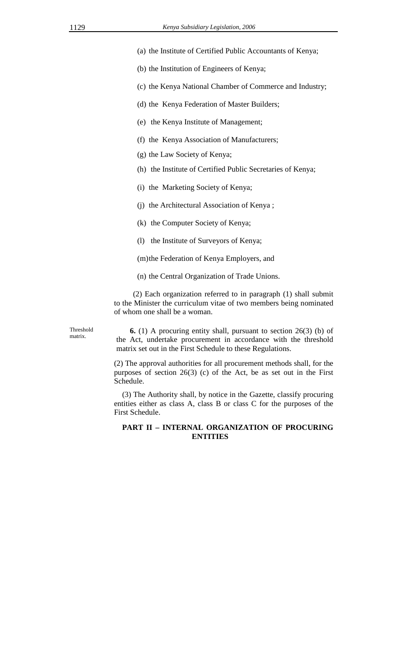- (a) the Institute of Certified Public Accountants of Kenya;
- (b) the Institution of Engineers of Kenya;
- (c) the Kenya National Chamber of Commerce and Industry;
- (d) the Kenya Federation of Master Builders;
- (e) the Kenya Institute of Management;
- (f) the Kenya Association of Manufacturers;
- (g) the Law Society of Kenya;
- (h) the Institute of Certified Public Secretaries of Kenya;
- (i) the Marketing Society of Kenya;
- (j) the Architectural Association of Kenya ;
- (k) the Computer Society of Kenya;
- (l) the Institute of Surveyors of Kenya;
- (m)the Federation of Kenya Employers, and
- (n) the Central Organization of Trade Unions.

 (2) Each organization referred to in paragraph (1) shall submit to the Minister the curriculum vitae of two members being nominated of whom one shall be a woman.

Threshold matrix.

 **6.** (1) A procuring entity shall, pursuant to section 26(3) (b) of the Act, undertake procurement in accordance with the threshold matrix set out in the First Schedule to these Regulations.

(2) The approval authorities for all procurement methods shall, for the purposes of section 26(3) (c) of the Act, be as set out in the First Schedule.

(3) The Authority shall, by notice in the Gazette, classify procuring entities either as class A, class B or class C for the purposes of the First Schedule.

## **PART II – INTERNAL ORGANIZATION OF PROCURING ENTITIES**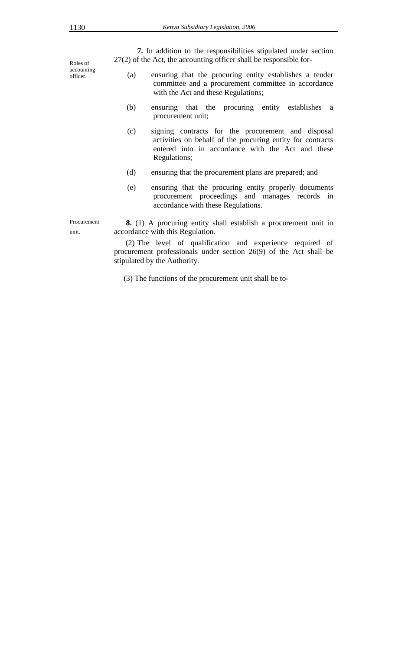**7.** In addition to the responsibilities stipulated under section 27(2) of the Act, the accounting officer shall be responsible for-

Roles of accounting officer.

Procurement

unit.

- (a) ensuring that the procuring entity establishes a tender committee and a procurement committee in accordance with the Act and these Regulations;
- (b) ensuring that the procuring entity establishes a procurement unit;
- (c) signing contracts for the procurement and disposal activities on behalf of the procuring entity for contracts entered into in accordance with the Act and these Regulations;
- (d) ensuring that the procurement plans are prepared; and
- (e) ensuring that the procuring entity properly documents procurement proceedings and manages records in accordance with these Regulations.

 **8.** (1) A procuring entity shall establish a procurement unit in accordance with this Regulation.

(2) The level of qualification and experience required of procurement professionals under section 26(9) of the Act shall be stipulated by the Authority.

(3) The functions of the procurement unit shall be to-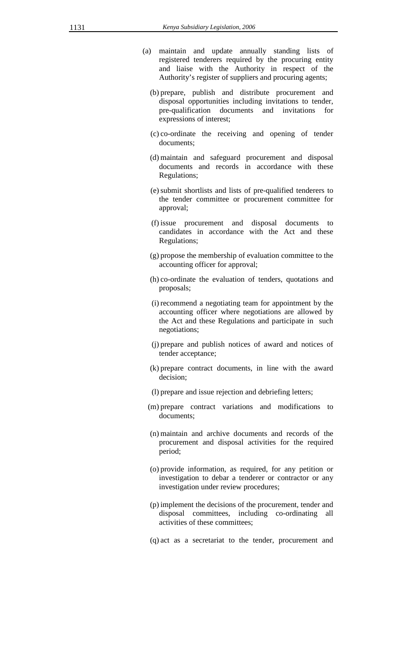- (a) maintain and update annually standing lists of registered tenderers required by the procuring entity and liaise with the Authority in respect of the Authority's register of suppliers and procuring agents;
	- (b) prepare, publish and distribute procurement and disposal opportunities including invitations to tender, pre-qualification documents and invitations for expressions of interest;
	- (c) co-ordinate the receiving and opening of tender documents;
	- (d) maintain and safeguard procurement and disposal documents and records in accordance with these Regulations;
	- (e)submit shortlists and lists of pre-qualified tenderers to the tender committee or procurement committee for approval;
	- (f) issue procurement and disposal documents to candidates in accordance with the Act and these Regulations;
	- (g) propose the membership of evaluation committee to the accounting officer for approval;
	- (h) co-ordinate the evaluation of tenders, quotations and proposals;
	- (i) recommend a negotiating team for appointment by the accounting officer where negotiations are allowed by the Act and these Regulations and participate in such negotiations;
	- (j) prepare and publish notices of award and notices of tender acceptance;
	- (k) prepare contract documents, in line with the award decision;
	- (l) prepare and issue rejection and debriefing letters;
	- (m) prepare contract variations and modifications to documents;
	- (n) maintain and archive documents and records of the procurement and disposal activities for the required period;
	- (o) provide information, as required, for any petition or investigation to debar a tenderer or contractor or any investigation under review procedures;
	- (p) implement the decisions of the procurement, tender and disposal committees, including co-ordinating all activities of these committees;
	- (q) act as a secretariat to the tender, procurement and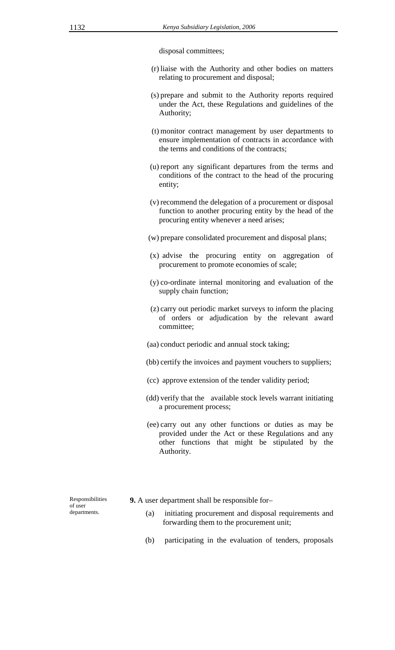disposal committees;

- (r) liaise with the Authority and other bodies on matters relating to procurement and disposal;
- (s) prepare and submit to the Authority reports required under the Act, these Regulations and guidelines of the Authority;
- (t) monitor contract management by user departments to ensure implementation of contracts in accordance with the terms and conditions of the contracts;
- (u) report any significant departures from the terms and conditions of the contract to the head of the procuring entity;
- (v) recommend the delegation of a procurement or disposal function to another procuring entity by the head of the procuring entity whenever a need arises;
- (w) prepare consolidated procurement and disposal plans;
- (x) advise the procuring entity on aggregation of procurement to promote economies of scale;
- (y) co-ordinate internal monitoring and evaluation of the supply chain function;
- (z) carry out periodic market surveys to inform the placing of orders or adjudication by the relevant award committee;
- (aa) conduct periodic and annual stock taking;
- (bb) certify the invoices and payment vouchers to suppliers;
- (cc) approve extension of the tender validity period;
- (dd) verify that the available stock levels warrant initiating a procurement process;
- (ee) carry out any other functions or duties as may be provided under the Act or these Regulations and any other functions that might be stipulated by the Authority.

Responsibilities of user departments.

- **9.** A user department shall be responsible for–
	- (a) initiating procurement and disposal requirements and forwarding them to the procurement unit;
	- (b) participating in the evaluation of tenders, proposals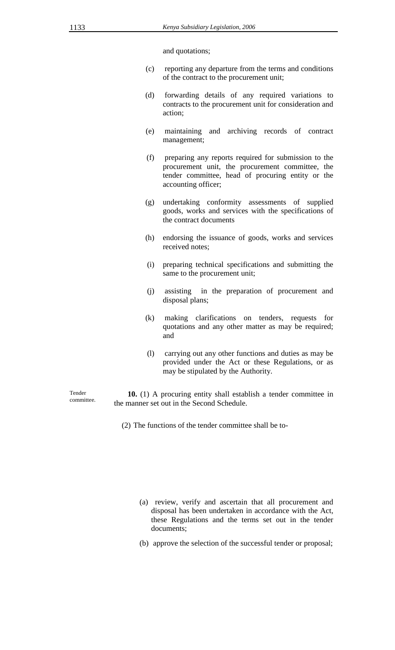and quotations;

- (c) reporting any departure from the terms and conditions of the contract to the procurement unit;
- (d) forwarding details of any required variations to contracts to the procurement unit for consideration and action;
- (e) maintaining and archiving records of contract management;
- (f) preparing any reports required for submission to the procurement unit, the procurement committee, the tender committee, head of procuring entity or the accounting officer;
- (g) undertaking conformity assessments of supplied goods, works and services with the specifications of the contract documents
- (h) endorsing the issuance of goods, works and services received notes;
- (i) preparing technical specifications and submitting the same to the procurement unit;
- (j) assisting in the preparation of procurement and disposal plans;
- (k) making clarifications on tenders, requests for quotations and any other matter as may be required; and
- (l) carrying out any other functions and duties as may be provided under the Act or these Regulations, or as may be stipulated by the Authority.

Tender committee.

 **10.** (1) A procuring entity shall establish a tender committee in the manner set out in the Second Schedule.

(2) The functions of the tender committee shall be to-

- (a) review, verify and ascertain that all procurement and disposal has been undertaken in accordance with the Act, these Regulations and the terms set out in the tender documents;
- (b) approve the selection of the successful tender or proposal;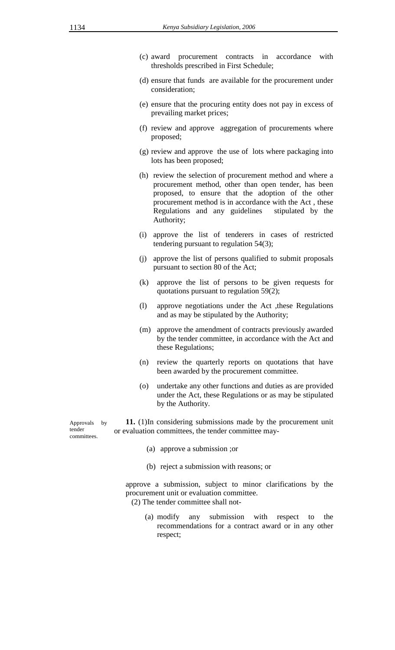- (c) award procurement contracts in accordance with thresholds prescribed in First Schedule;
- (d) ensure that funds are available for the procurement under consideration;
- (e) ensure that the procuring entity does not pay in excess of prevailing market prices;
- (f) review and approve aggregation of procurements where proposed;
- (g) review and approve the use of lots where packaging into lots has been proposed;
- (h) review the selection of procurement method and where a procurement method, other than open tender, has been proposed, to ensure that the adoption of the other procurement method is in accordance with the Act , these Regulations and any guidelines stipulated by the Authority;
- (i) approve the list of tenderers in cases of restricted tendering pursuant to regulation 54(3);
- (j) approve the list of persons qualified to submit proposals pursuant to section 80 of the Act;
- (k) approve the list of persons to be given requests for quotations pursuant to regulation 59(2);
- (l) approve negotiations under the Act ,these Regulations and as may be stipulated by the Authority;
- (m) approve the amendment of contracts previously awarded by the tender committee, in accordance with the Act and these Regulations;
- (n) review the quarterly reports on quotations that have been awarded by the procurement committee.
- (o) undertake any other functions and duties as are provided under the Act, these Regulations or as may be stipulated by the Authority.

 **11.** (1)In considering submissions made by the procurement unit or evaluation committees, the tender committee may-

- (a) approve a submission ;or
- (b) reject a submission with reasons; or

approve a submission, subject to minor clarifications by the procurement unit or evaluation committee.

(2) The tender committee shall not-

(a) modify any submission with respect to the recommendations for a contract award or in any other respect;

Approvals by tender committees.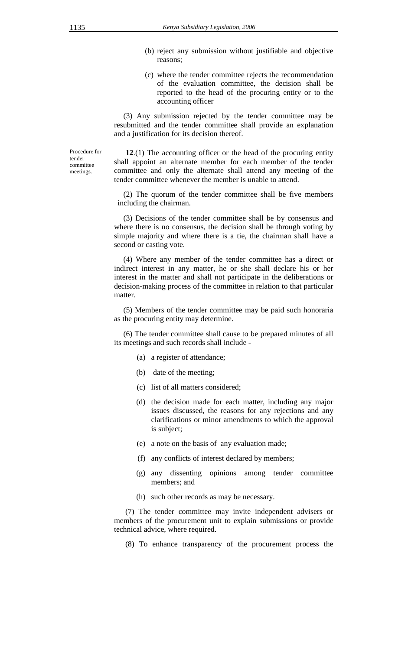- (b) reject any submission without justifiable and objective reasons;
- (c) where the tender committee rejects the recommendation of the evaluation committee, the decision shall be reported to the head of the procuring entity or to the accounting officer

(3) Any submission rejected by the tender committee may be resubmitted and the tender committee shall provide an explanation and a justification for its decision thereof.

Procedure for tender committee meetings.

 **12**.(1) The accounting officer or the head of the procuring entity shall appoint an alternate member for each member of the tender committee and only the alternate shall attend any meeting of the tender committee whenever the member is unable to attend.

(2) The quorum of the tender committee shall be five members including the chairman.

(3) Decisions of the tender committee shall be by consensus and where there is no consensus, the decision shall be through voting by simple majority and where there is a tie, the chairman shall have a second or casting vote.

(4) Where any member of the tender committee has a direct or indirect interest in any matter, he or she shall declare his or her interest in the matter and shall not participate in the deliberations or decision-making process of the committee in relation to that particular matter.

(5) Members of the tender committee may be paid such honoraria as the procuring entity may determine.

(6) The tender committee shall cause to be prepared minutes of all its meetings and such records shall include -

- (a) a register of attendance;
- (b) date of the meeting;
- (c) list of all matters considered;
- (d) the decision made for each matter, including any major issues discussed, the reasons for any rejections and any clarifications or minor amendments to which the approval is subject;
- (e) a note on the basis of any evaluation made;
- (f) any conflicts of interest declared by members;
- (g) any dissenting opinions among tender committee members; and
- (h) such other records as may be necessary.

(7) The tender committee may invite independent advisers or members of the procurement unit to explain submissions or provide technical advice, where required.

(8) To enhance transparency of the procurement process the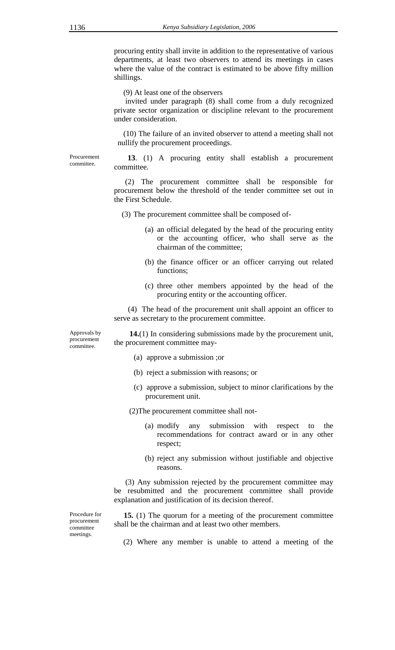procuring entity shall invite in addition to the representative of various departments, at least two observers to attend its meetings in cases where the value of the contract is estimated to be above fifty million shillings.

(9) At least one of the observers

 invited under paragraph (8) shall come from a duly recognized private sector organization or discipline relevant to the procurement under consideration.

(10) The failure of an invited observer to attend a meeting shall not nullify the procurement proceedings.

Procurement committee.

 **13**. (1) A procuring entity shall establish a procurement committee.

(2) The procurement committee shall be responsible for procurement below the threshold of the tender committee set out in the First Schedule.

(3) The procurement committee shall be composed of-

- (a) an official delegated by the head of the procuring entity or the accounting officer, who shall serve as the chairman of the committee;
- (b) the finance officer or an officer carrying out related functions;
- (c) three other members appointed by the head of the procuring entity or the accounting officer.

(4) The head of the procurement unit shall appoint an officer to serve as secretary to the procurement committee.

Approvals by procurement committee.

 **14.**(1) In considering submissions made by the procurement unit, the procurement committee may-

- (a) approve a submission ;or
- (b) reject a submission with reasons; or
- (c) approve a submission, subject to minor clarifications by the procurement unit.

(2)The procurement committee shall not-

- (a) modify any submission with respect to the recommendations for contract award or in any other respect;
- (b) reject any submission without justifiable and objective reasons.

 (3) Any submission rejected by the procurement committee may be resubmitted and the procurement committee shall provide explanation and justification of its decision thereof.

Procedure for procurement committee meetings.

 **15.** (1) The quorum for a meeting of the procurement committee shall be the chairman and at least two other members.

(2) Where any member is unable to attend a meeting of the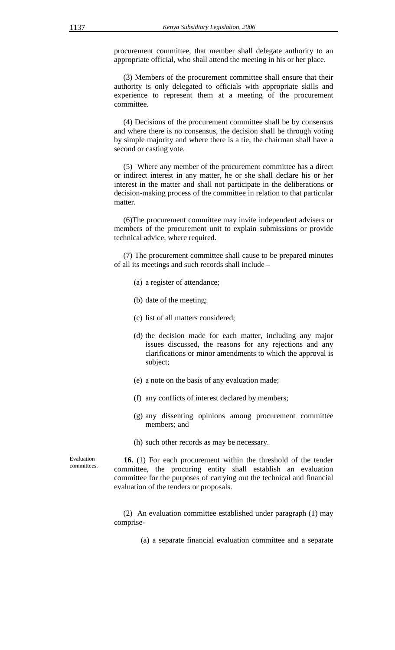procurement committee, that member shall delegate authority to an appropriate official, who shall attend the meeting in his or her place.

(3) Members of the procurement committee shall ensure that their authority is only delegated to officials with appropriate skills and experience to represent them at a meeting of the procurement committee.

(4) Decisions of the procurement committee shall be by consensus and where there is no consensus, the decision shall be through voting by simple majority and where there is a tie, the chairman shall have a second or casting vote.

(5) Where any member of the procurement committee has a direct or indirect interest in any matter, he or she shall declare his or her interest in the matter and shall not participate in the deliberations or decision-making process of the committee in relation to that particular matter.

(6)The procurement committee may invite independent advisers or members of the procurement unit to explain submissions or provide technical advice, where required.

(7) The procurement committee shall cause to be prepared minutes of all its meetings and such records shall include –

- (a) a register of attendance;
- (b) date of the meeting;
- (c) list of all matters considered;
- (d) the decision made for each matter, including any major issues discussed, the reasons for any rejections and any clarifications or minor amendments to which the approval is subject;
- (e) a note on the basis of any evaluation made;
- (f) any conflicts of interest declared by members;
- (g) any dissenting opinions among procurement committee members; and
- (h) such other records as may be necessary.

Evaluation committees.

 **16.** (1) For each procurement within the threshold of the tender committee, the procuring entity shall establish an evaluation committee for the purposes of carrying out the technical and financial evaluation of the tenders or proposals.

(2) An evaluation committee established under paragraph (1) may comprise-

(a) a separate financial evaluation committee and a separate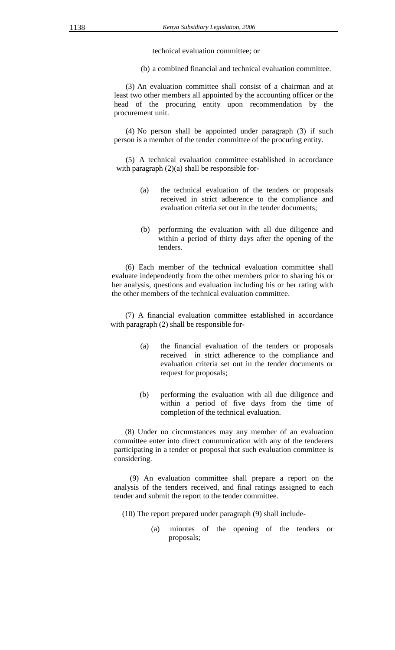technical evaluation committee; or

(b) a combined financial and technical evaluation committee.

(3) An evaluation committee shall consist of a chairman and at least two other members all appointed by the accounting officer or the head of the procuring entity upon recommendation by the procurement unit.

(4) No person shall be appointed under paragraph (3) if such person is a member of the tender committee of the procuring entity.

(5) A technical evaluation committee established in accordance with paragraph  $(2)(a)$  shall be responsible for-

- (a) the technical evaluation of the tenders or proposals received in strict adherence to the compliance and evaluation criteria set out in the tender documents;
- (b) performing the evaluation with all due diligence and within a period of thirty days after the opening of the tenders.

(6) Each member of the technical evaluation committee shall evaluate independently from the other members prior to sharing his or her analysis, questions and evaluation including his or her rating with the other members of the technical evaluation committee.

 (7) A financial evaluation committee established in accordance with paragraph (2) shall be responsible for-

- (a) the financial evaluation of the tenders or proposals received in strict adherence to the compliance and evaluation criteria set out in the tender documents or request for proposals;
- (b) performing the evaluation with all due diligence and within a period of five days from the time of completion of the technical evaluation.

(8) Under no circumstances may any member of an evaluation committee enter into direct communication with any of the tenderers participating in a tender or proposal that such evaluation committee is considering.

 (9) An evaluation committee shall prepare a report on the analysis of the tenders received, and final ratings assigned to each tender and submit the report to the tender committee.

(10) The report prepared under paragraph (9) shall include-

(a) minutes of the opening of the tenders or proposals;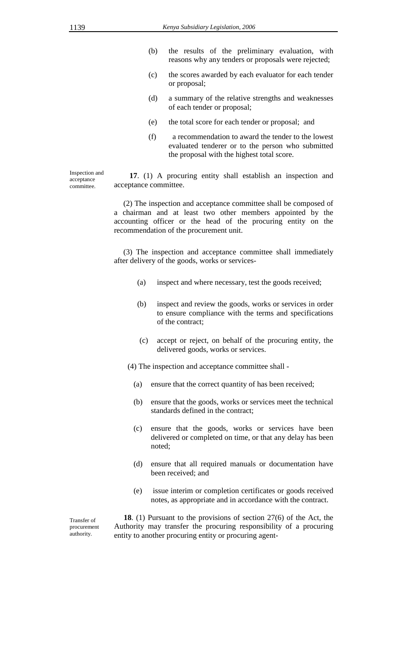- (b) the results of the preliminary evaluation, with reasons why any tenders or proposals were rejected;
- (c) the scores awarded by each evaluator for each tender or proposal;
- (d) a summary of the relative strengths and weaknesses of each tender or proposal;
- (e) the total score for each tender or proposal; and
- (f) a recommendation to award the tender to the lowest evaluated tenderer or to the person who submitted the proposal with the highest total score.

Inspection and acceptance committee.

 **17**. (1) A procuring entity shall establish an inspection and acceptance committee.

(2) The inspection and acceptance committee shall be composed of a chairman and at least two other members appointed by the accounting officer or the head of the procuring entity on the recommendation of the procurement unit.

(3) The inspection and acceptance committee shall immediately after delivery of the goods, works or services-

- (a) inspect and where necessary, test the goods received;
- (b) inspect and review the goods, works or services in order to ensure compliance with the terms and specifications of the contract;
- (c) accept or reject, on behalf of the procuring entity, the delivered goods, works or services.

(4) The inspection and acceptance committee shall -

- (a) ensure that the correct quantity of has been received;
- (b) ensure that the goods, works or services meet the technical standards defined in the contract;
- (c) ensure that the goods, works or services have been delivered or completed on time, or that any delay has been noted;
- (d) ensure that all required manuals or documentation have been received; and
- (e) issue interim or completion certificates or goods received notes, as appropriate and in accordance with the contract.

Transfer of procurement authority.

 **18**. (1) Pursuant to the provisions of section 27(6) of the Act, the Authority may transfer the procuring responsibility of a procuring entity to another procuring entity or procuring agent-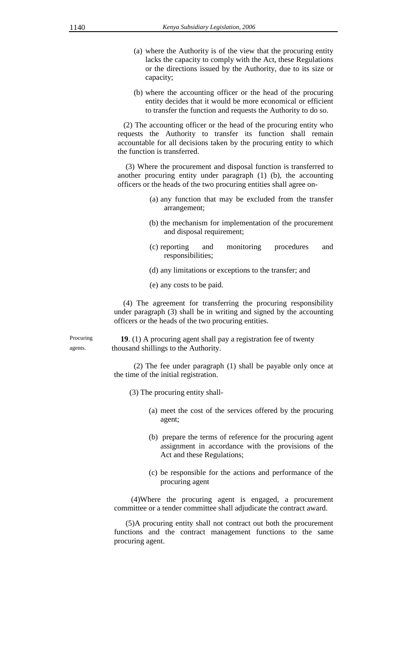- (a) where the Authority is of the view that the procuring entity lacks the capacity to comply with the Act, these Regulations or the directions issued by the Authority, due to its size or capacity;
- (b) where the accounting officer or the head of the procuring entity decides that it would be more economical or efficient to transfer the function and requests the Authority to do so.

(2) The accounting officer or the head of the procuring entity who requests the Authority to transfer its function shall remain accountable for all decisions taken by the procuring entity to which the function is transferred.

(3) Where the procurement and disposal function is transferred to another procuring entity under paragraph (1) (b), the accounting officers or the heads of the two procuring entities shall agree on-

- (a) any function that may be excluded from the transfer arrangement;
- (b) the mechanism for implementation of the procurement and disposal requirement;
- (c) reporting and monitoring procedures and responsibilities;
- (d) any limitations or exceptions to the transfer; and
- (e) any costs to be paid.

(4) The agreement for transferring the procuring responsibility under paragraph (3) shall be in writing and signed by the accounting officers or the heads of the two procuring entities.

Procuring agents.

**19**. (1) A procuring agent shall pay a registration fee of twenty thousand shillings to the Authority.

(2) The fee under paragraph (1) shall be payable only once at the time of the initial registration.

- (3) The procuring entity shall-
	- (a) meet the cost of the services offered by the procuring agent;
	- (b) prepare the terms of reference for the procuring agent assignment in accordance with the provisions of the Act and these Regulations;
	- (c) be responsible for the actions and performance of the procuring agent

(4)Where the procuring agent is engaged, a procurement committee or a tender committee shall adjudicate the contract award.

(5)A procuring entity shall not contract out both the procurement functions and the contract management functions to the same procuring agent.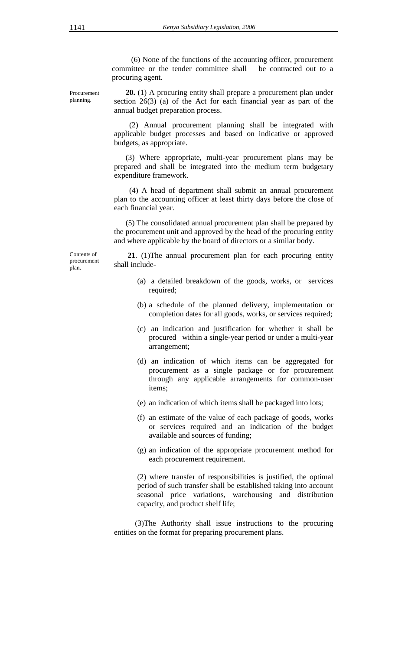(6) None of the functions of the accounting officer, procurement committee or the tender committee shall be contracted out to a procuring agent.

Procurement planning.

 **20.** (1) A procuring entity shall prepare a procurement plan under section 26(3) (a) of the Act for each financial year as part of the annual budget preparation process.

(2) Annual procurement planning shall be integrated with applicable budget processes and based on indicative or approved budgets, as appropriate.

(3) Where appropriate, multi-year procurement plans may be prepared and shall be integrated into the medium term budgetary expenditure framework.

(4) A head of department shall submit an annual procurement plan to the accounting officer at least thirty days before the close of each financial year.

(5) The consolidated annual procurement plan shall be prepared by the procurement unit and approved by the head of the procuring entity and where applicable by the board of directors or a similar body.

Contents of procurement plan.

 **21**. (1)The annual procurement plan for each procuring entity shall include-

- (a) a detailed breakdown of the goods, works, or services required;
- (b) a schedule of the planned delivery, implementation or completion dates for all goods, works, or services required;
- (c) an indication and justification for whether it shall be procured within a single-year period or under a multi-year arrangement;
- (d) an indication of which items can be aggregated for procurement as a single package or for procurement through any applicable arrangements for common-user items;
- (e) an indication of which items shall be packaged into lots;
- (f) an estimate of the value of each package of goods, works or services required and an indication of the budget available and sources of funding;
- (g) an indication of the appropriate procurement method for each procurement requirement.

(2) where transfer of responsibilities is justified, the optimal period of such transfer shall be established taking into account seasonal price variations, warehousing and distribution capacity, and product shelf life;

 (3)The Authority shall issue instructions to the procuring entities on the format for preparing procurement plans.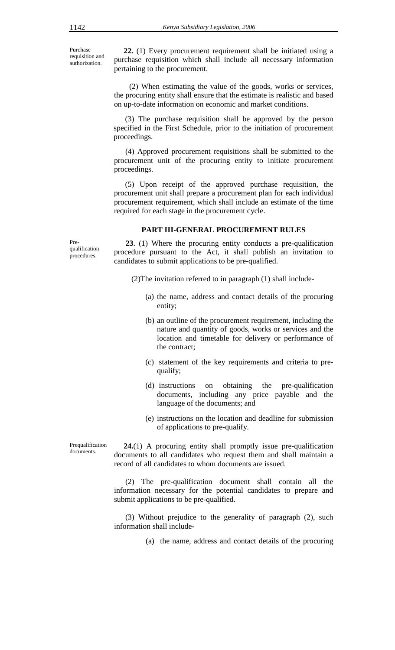Purchase requisition and authorization.

 **22.** (1) Every procurement requirement shall be initiated using a purchase requisition which shall include all necessary information pertaining to the procurement.

 (2) When estimating the value of the goods, works or services, the procuring entity shall ensure that the estimate is realistic and based on up-to-date information on economic and market conditions.

(3) The purchase requisition shall be approved by the person specified in the First Schedule, prior to the initiation of procurement proceedings.

(4) Approved procurement requisitions shall be submitted to the procurement unit of the procuring entity to initiate procurement proceedings.

(5) Upon receipt of the approved purchase requisition, the procurement unit shall prepare a procurement plan for each individual procurement requirement, which shall include an estimate of the time required for each stage in the procurement cycle.

#### **PART III-GENERAL PROCUREMENT RULES**

Prequalification procedures.

 **23**. (1) Where the procuring entity conducts a pre-qualification procedure pursuant to the Act, it shall publish an invitation to candidates to submit applications to be pre-qualified.

(2)The invitation referred to in paragraph (1) shall include-

- (a) the name, address and contact details of the procuring entity;
- (b) an outline of the procurement requirement, including the nature and quantity of goods, works or services and the location and timetable for delivery or performance of the contract;
- (c) statement of the key requirements and criteria to prequalify;
- (d) instructions on obtaining the pre-qualification documents, including any price payable and the language of the documents; and
- (e) instructions on the location and deadline for submission of applications to pre-qualify.

 **24.**(1) A procuring entity shall promptly issue pre-qualification documents to all candidates who request them and shall maintain a record of all candidates to whom documents are issued.

(2) The pre-qualification document shall contain all the information necessary for the potential candidates to prepare and submit applications to be pre-qualified.

(3) Without prejudice to the generality of paragraph (2), such information shall include-

(a) the name, address and contact details of the procuring

Prequalification documents.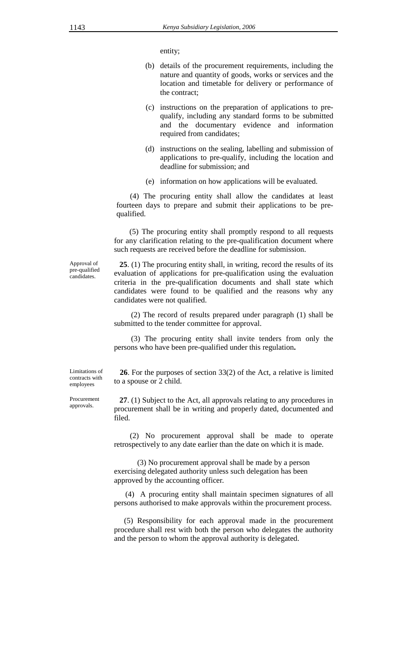entity;

- (b) details of the procurement requirements, including the nature and quantity of goods, works or services and the location and timetable for delivery or performance of the contract;
- (c) instructions on the preparation of applications to prequalify, including any standard forms to be submitted and the documentary evidence and information required from candidates;
- (d) instructions on the sealing, labelling and submission of applications to pre-qualify, including the location and deadline for submission; and
- (e) information on how applications will be evaluated.

 (4) The procuring entity shall allow the candidates at least fourteen days to prepare and submit their applications to be prequalified.

 (5) The procuring entity shall promptly respond to all requests for any clarification relating to the pre-qualification document where such requests are received before the deadline for submission.

Approval of pre-qualified candidates.

**25**. (1) The procuring entity shall, in writing, record the results of its evaluation of applications for pre-qualification using the evaluation criteria in the pre-qualification documents and shall state which candidates were found to be qualified and the reasons why any candidates were not qualified.

(2) The record of results prepared under paragraph (1) shall be submitted to the tender committee for approval.

(3) The procuring entity shall invite tenders from only the persons who have been pre-qualified under this regulation**.** 

**26**. For the purposes of section 33(2) of the Act, a relative is limited

Limitations of contracts with employees

to a spouse or 2 child.

Procurement approvals.

**27**. (1) Subject to the Act, all approvals relating to any procedures in procurement shall be in writing and properly dated, documented and filed.

 (2) No procurement approval shall be made to operate retrospectively to any date earlier than the date on which it is made.

(3) No procurement approval shall be made by a person exercising delegated authority unless such delegation has been approved by the accounting officer*.*

(4) A procuring entity shall maintain specimen signatures of all persons authorised to make approvals within the procurement process.

 (5) Responsibility for each approval made in the procurement procedure shall rest with both the person who delegates the authority and the person to whom the approval authority is delegated.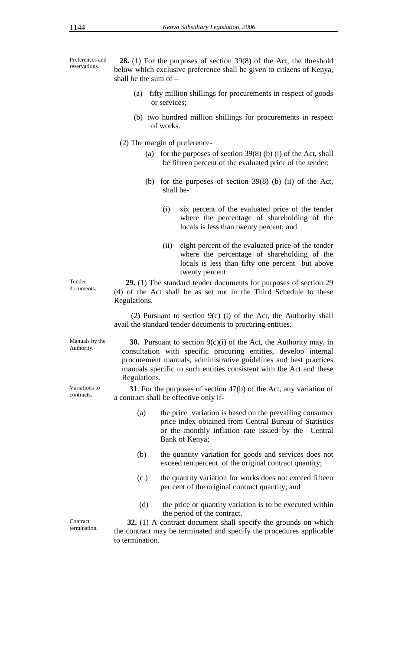Preferences and reservations.

**28.** (1) For the purposes of section 39(8) of the Act, the threshold below which exclusive preference shall be given to citizens of Kenya, shall be the sum of –

- (a) fifty million shillings for procurements in respect of goods or services;
- (b) two hundred million shillings for procurements in respect of works.
- (2) The margin of preference-
	- (a) for the purposes of section  $39(8)$  (b) (i) of the Act, shall be fifteen percent of the evaluated price of the tender;
	- (b) for the purposes of section 39(8) (b) (ii) of the Act, shall be-
		- (i) six percent of the evaluated price of the tender where the percentage of shareholding of the locals is less than twenty percent; and
		- (ii) eight percent of the evaluated price of the tender where the percentage of shareholding of the locals is less than fifty one percent but above twenty percent

 **29.** (1) The standard tender documents for purposes of section 29 (4) of the Act shall be as set out in the Third Schedule to these Regulations.

(2) Pursuant to section 9(c) (i) of the Act, the Authority shall avail the standard tender documents to procuring entities.

Manuals by the Authority.

Variations to contracts**.**

Tender documents.

> **30.** Pursuant to section 9(c)(i) of the Act, the Authority may, in consultation with specific procuring entities, develop internal procurement manuals, administrative guidelines and best practices manuals specific to such entities consistent with the Act and these Regulations.

 **31**. For the purposes of section 47(b) of the Act, any variation of a contract shall be effective only if-

- (a) the price variation is based on the prevailing consumer price index obtained from Central Bureau of Statistics or the monthly inflation rate issued by the Central Bank of Kenya;
- (b) the quantity variation for goods and services does not exceed ten percent of the original contract quantity;
- (c ) the quantity variation for works does not exceed fifteen per cent of the original contract quantity; and
- (d) the price or quantity variation is to be executed within the period of the contract.

**Contract** termination.

 **32.** (1) A contract document shall specify the grounds on which the contract may be terminated and specify the procedures applicable to termination.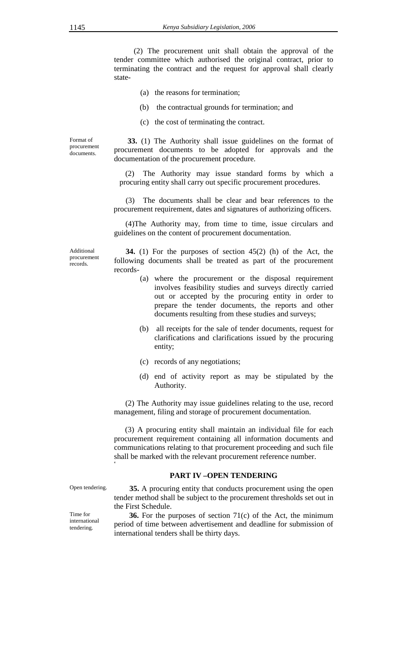(2) The procurement unit shall obtain the approval of the tender committee which authorised the original contract, prior to terminating the contract and the request for approval shall clearly state-

- (a) the reasons for termination;
- (b) the contractual grounds for termination; and
- (c) the cost of terminating the contract.

Format of procurement documents.

 **33.** (1) The Authority shall issue guidelines on the format of procurement documents to be adopted for approvals and the documentation of the procurement procedure.

(2) The Authority may issue standard forms by which a procuring entity shall carry out specific procurement procedures.

(3) The documents shall be clear and bear references to the procurement requirement, dates and signatures of authorizing officers.

(4)The Authority may, from time to time, issue circulars and guidelines on the content of procurement documentation.

Additional procurement records.

 **34.** (1) For the purposes of section 45(2) (h) of the Act, the following documents shall be treated as part of the procurement records-

- (a) where the procurement or the disposal requirement involves feasibility studies and surveys directly carried out or accepted by the procuring entity in order to prepare the tender documents, the reports and other documents resulting from these studies and surveys;
- (b) all receipts for the sale of tender documents, request for clarifications and clarifications issued by the procuring entity;
- (c) records of any negotiations;
- (d) end of activity report as may be stipulated by the Authority.

(2) The Authority may issue guidelines relating to the use, record management, filing and storage of procurement documentation.

(3) A procuring entity shall maintain an individual file for each procurement requirement containing all information documents and communications relating to that procurement proceeding and such file shall be marked with the relevant procurement reference number.

## **PART IV –OPEN TENDERING**

**4** 

Open tendering. **35.** A procuring entity that conducts procurement using the open tender method shall be subject to the procurement thresholds set out in the First Schedule.

> **36.** For the purposes of section 71(c) of the Act, the minimum period of time between advertisement and deadline for submission of international tenders shall be thirty days.

Time for international

tendering.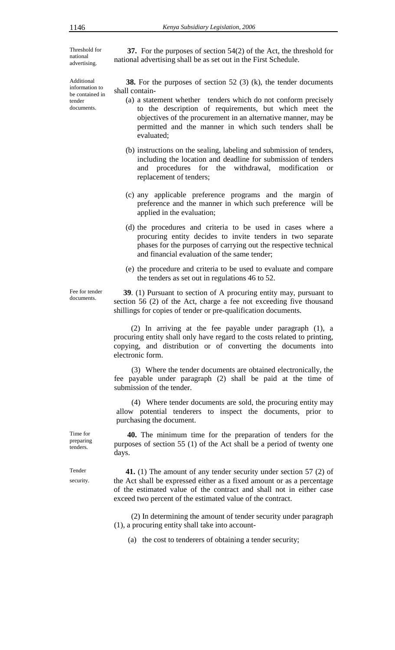Threshold for national advertising.

Additional information to be contained in tender documents.

 **37.** For the purposes of section 54(2) of the Act, the threshold for national advertising shall be as set out in the First Schedule.

**38.** For the purposes of section 52 (3) (k), the tender documents shall contain-

- (a) a statement whether tenders which do not conform precisely to the description of requirements, but which meet the objectives of the procurement in an alternative manner, may be permitted and the manner in which such tenders shall be evaluated;
- (b) instructions on the sealing, labeling and submission of tenders, including the location and deadline for submission of tenders and procedures for the withdrawal, modification or replacement of tenders;
- (c) any applicable preference programs and the margin of preference and the manner in which such preference will be applied in the evaluation;
- (d) the procedures and criteria to be used in cases where a procuring entity decides to invite tenders in two separate phases for the purposes of carrying out the respective technical and financial evaluation of the same tender;
- (e) the procedure and criteria to be used to evaluate and compare the tenders as set out in regulations 46 to 52.

Fee for tender documents.

 **39**. (1) Pursuant to section of A procuring entity may, pursuant to section 56 (2) of the Act, charge a fee not exceeding five thousand shillings for copies of tender or pre-qualification documents.

(2) In arriving at the fee payable under paragraph (1), a procuring entity shall only have regard to the costs related to printing, copying, and distribution or of converting the documents into electronic form.

(3) Where the tender documents are obtained electronically, the fee payable under paragraph (2) shall be paid at the time of submission of the tender.

(4) Where tender documents are sold, the procuring entity may allow potential tenderers to inspect the documents, prior to purchasing the document.

 **40.** The minimum time for the preparation of tenders for the purposes of section 55 (1) of the Act shall be a period of twenty one days.

 **41.** (1) The amount of any tender security under section 57 (2) of the Act shall be expressed either as a fixed amount or as a percentage of the estimated value of the contract and shall not in either case exceed two percent of the estimated value of the contract.

(2) In determining the amount of tender security under paragraph (1), a procuring entity shall take into account-

(a) the cost to tenderers of obtaining a tender security;

Time for preparing tenders.

Tender security.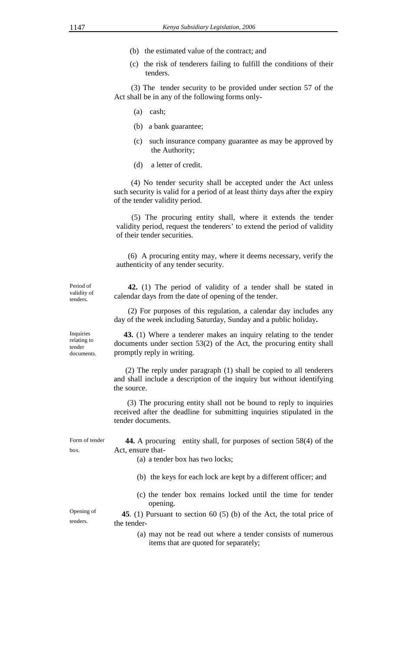- (b) the estimated value of the contract; and
- (c) the risk of tenderers failing to fulfill the conditions of their tenders.

(3) The tender security to be provided under section 57 of the Act shall be in any of the following forms only-

- (a) cash;
- (b) a bank guarantee;
- (c) such insurance company guarantee as may be approved by the Authority;
- (d) a letter of credit.

(4) No tender security shall be accepted under the Act unless such security is valid for a period of at least thirty days after the expiry of the tender validity period.

(5) The procuring entity shall, where it extends the tender validity period, request the tenderers' to extend the period of validity of their tender securities.

(6) A procuring entity may, where it deems necessary, verify the authenticity of any tender security.

Period of validity of tenders.

 **42.** (1) The period of validity of a tender shall be stated in calendar days from the date of opening of the tender.

(2) For purposes of this regulation, a calendar day includes any day of the week including Saturday, Sunday and a public holiday**.** 

 **43.** (1) Where a tenderer makes an inquiry relating to the tender documents under section 53(2) of the Act, the procuring entity shall promptly reply in writing.

(2) The reply under paragraph (1) shall be copied to all tenderers and shall include a description of the inquiry but without identifying the source.

 (3) The procuring entity shall not be bound to reply to inquiries received after the deadline for submitting inquiries stipulated in the tender documents.

Form of tender box.

Opening of tenders.

**44.** A procuring entity shall, for purposes of section 58(4) of the Act, ensure that-

(a) a tender box has two locks;

- (b) the keys for each lock are kept by a different officer; and
- (c) the tender box remains locked until the time for tender opening.

 **45**. (1) Pursuant to section 60 (5) (b) of the Act, the total price of the tender-

> (a) may not be read out where a tender consists of numerous items that are quoted for separately;

documents.

Inquiries relating to tender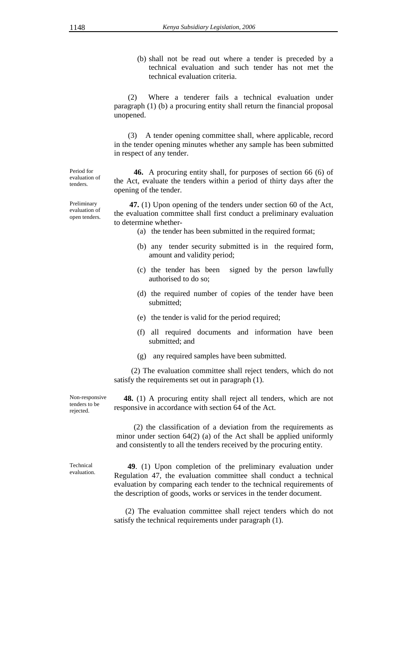(b) shall not be read out where a tender is preceded by a technical evaluation and such tender has not met the technical evaluation criteria.

(2) Where a tenderer fails a technical evaluation under paragraph (1) (b) a procuring entity shall return the financial proposal unopened.

(3) A tender opening committee shall, where applicable, record in the tender opening minutes whether any sample has been submitted in respect of any tender.

 **46.** A procuring entity shall, for purposes of section 66 (6) of the Act, evaluate the tenders within a period of thirty days after the opening of the tender.

 **47.** (1) Upon opening of the tenders under section 60 of the Act, the evaluation committee shall first conduct a preliminary evaluation to determine whether-

- (a) the tender has been submitted in the required format;
- (b) any tender security submitted is in the required form, amount and validity period;
- (c) the tender has been signed by the person lawfully authorised to do so;
- (d) the required number of copies of the tender have been submitted;
- (e) the tender is valid for the period required;
- (f) all required documents and information have been submitted; and
- (g) any required samples have been submitted.

(2) The evaluation committee shall reject tenders, which do not satisfy the requirements set out in paragraph (1).

Non-responsive tenders to be rejected.

 **48.** (1) A procuring entity shall reject all tenders, which are not responsive in accordance with section 64 of the Act.

(2) the classification of a deviation from the requirements as minor under section 64(2) (a) of the Act shall be applied uniformly and consistently to all the tenders received by the procuring entity.

Technical evaluation.

 **49**. (1) Upon completion of the preliminary evaluation under Regulation 47, the evaluation committee shall conduct a technical evaluation by comparing each tender to the technical requirements of the description of goods, works or services in the tender document.

(2) The evaluation committee shall reject tenders which do not satisfy the technical requirements under paragraph (1).

Preliminary evaluation of open tenders.

Period for evaluation of tenders.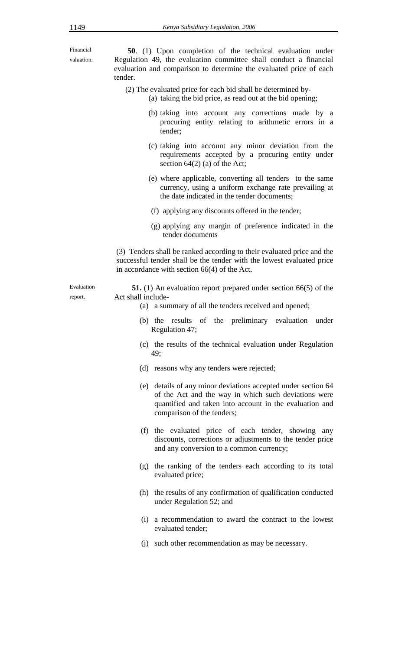Financial valuation.

 **50**. (1) Upon completion of the technical evaluation under Regulation 49, the evaluation committee shall conduct a financial evaluation and comparison to determine the evaluated price of each tender.

- (2) The evaluated price for each bid shall be determined by-
	- (a) taking the bid price, as read out at the bid opening;
		- (b) taking into account any corrections made by a procuring entity relating to arithmetic errors in a tender;
		- (c) taking into account any minor deviation from the requirements accepted by a procuring entity under section 64(2) (a) of the Act;
		- (e) where applicable, converting all tenders to the same currency, using a uniform exchange rate prevailing at the date indicated in the tender documents;
		- (f) applying any discounts offered in the tender;
		- (g) applying any margin of preference indicated in the tender documents

(3) Tenders shall be ranked according to their evaluated price and the successful tender shall be the tender with the lowest evaluated price in accordance with section 66(4) of the Act.

Evaluation report.

 **51.** (1) An evaluation report prepared under section 66(5) of the Act shall include-

- (a) a summary of all the tenders received and opened;
	- (b) the results of the preliminary evaluation under Regulation 47;
	- (c) the results of the technical evaluation under Regulation 49;
	- (d) reasons why any tenders were rejected;
	- (e) details of any minor deviations accepted under section 64 of the Act and the way in which such deviations were quantified and taken into account in the evaluation and comparison of the tenders;
	- (f) the evaluated price of each tender, showing any discounts, corrections or adjustments to the tender price and any conversion to a common currency;
	- (g) the ranking of the tenders each according to its total evaluated price;
	- (h) the results of any confirmation of qualification conducted under Regulation 52; and
	- (i) a recommendation to award the contract to the lowest evaluated tender;
	- (j) such other recommendation as may be necessary.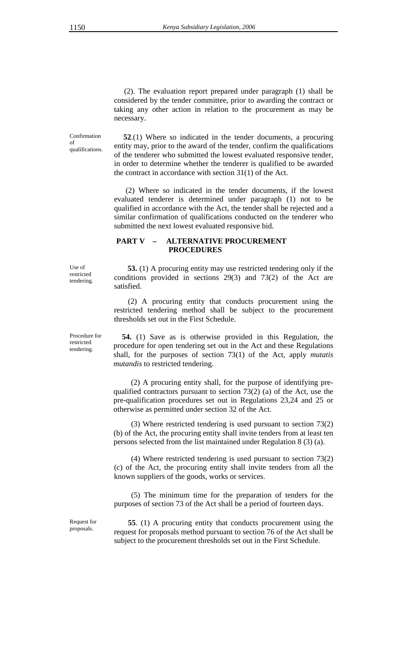(2). The evaluation report prepared under paragraph (1) shall be considered by the tender committee, prior to awarding the contract or taking any other action in relation to the procurement as may be necessary.

Confirmation of qualifications.

 **52**.(1) Where so indicated in the tender documents, a procuring entity may, prior to the award of the tender, confirm the qualifications of the tenderer who submitted the lowest evaluated responsive tender, in order to determine whether the tenderer is qualified to be awarded the contract in accordance with section 31(1) of the Act.

 (2) Where so indicated in the tender documents, if the lowest evaluated tenderer is determined under paragraph (1) not to be qualified in accordance with the Act, the tender shall be rejected and a similar confirmation of qualifications conducted on the tenderer who submitted the next lowest evaluated responsive bid.

## **PART V – ALTERNATIVE PROCUREMENT PROCEDURES**

 **53.** (1) A procuring entity may use restricted tendering only if the conditions provided in sections 29(3) and 73(2) of the Act are satisfied.

(2) A procuring entity that conducts procurement using the restricted tendering method shall be subject to the procurement thresholds set out in the First Schedule.

**54.** (1) Save as is otherwise provided in this Regulation, the procedure for open tendering set out in the Act and these Regulations shall, for the purposes of section 73(1) of the Act, apply *mutatis mutandis* to restricted tendering.

(2) A procuring entity shall, for the purpose of identifying prequalified contractors pursuant to section 73(2) (a) of the Act, use the pre-qualification procedures set out in Regulations 23,24 and 25 or otherwise as permitted under section 32 of the Act.

(3) Where restricted tendering is used pursuant to section 73(2) (b) of the Act, the procuring entity shall invite tenders from at least ten persons selected from the list maintained under Regulation 8 (3) (a).

(4) Where restricted tendering is used pursuant to section 73(2) (c) of the Act, the procuring entity shall invite tenders from all the known suppliers of the goods, works or services.

(5) The minimum time for the preparation of tenders for the purposes of section 73 of the Act shall be a period of fourteen days.

Request for proposals.

 **55**. (1) A procuring entity that conducts procurement using the request for proposals method pursuant to section 76 of the Act shall be subject to the procurement thresholds set out in the First Schedule.

Use of restricted tendering.

Procedure for restricted tendering.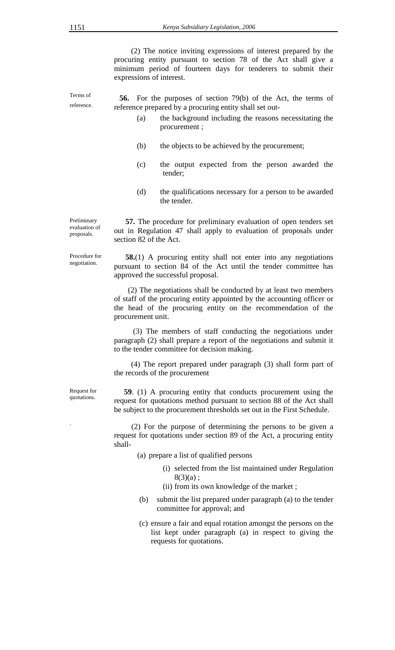(2) The notice inviting expressions of interest prepared by the procuring entity pursuant to section 78 of the Act shall give a minimum period of fourteen days for tenderers to submit their expressions of interest.

**56.** For the purposes of section 79(b) of the Act, the terms of reference prepared by a procuring entity shall set out-

- (a) the background including the reasons necessitating the procurement ;
- (b) the objects to be achieved by the procurement;
- (c) the output expected from the person awarded the tender;
- (d) the qualifications necessary for a person to be awarded the tender.

**57.** The procedure for preliminary evaluation of open tenders set out in Regulation 47 shall apply to evaluation of proposals under section 82 of the Act.

**58.**(1) A procuring entity shall not enter into any negotiations pursuant to section 84 of the Act until the tender committee has approved the successful proposal.

(2) The negotiations shall be conducted by at least two members of staff of the procuring entity appointed by the accounting officer or the head of the procuring entity on the recommendation of the procurement unit.

 (3) The members of staff conducting the negotiations under paragraph (2) shall prepare a report of the negotiations and submit it to the tender committee for decision making.

(4) The report prepared under paragraph (3) shall form part of the records of the procurement

Request for quotations.

 **59**. (1) A procuring entity that conducts procurement using the request for quotations method pursuant to section 88 of the Act shall be subject to the procurement thresholds set out in the First Schedule.

. (2) For the purpose of determining the persons to be given a request for quotations under section 89 of the Act, a procuring entity shall-

- (a) prepare a list of qualified persons
	- (i) selected from the list maintained under Regulation  $8(3)(a)$ ;
	- (ii) from its own knowledge of the market ;
- (b) submit the list prepared under paragraph (a) to the tender committee for approval; and
- (c) ensure a fair and equal rotation amongst the persons on the list kept under paragraph (a) in respect to giving the requests for quotations.

Terms of reference.

Preliminary evaluation of proposals.

Procedure for negotiation.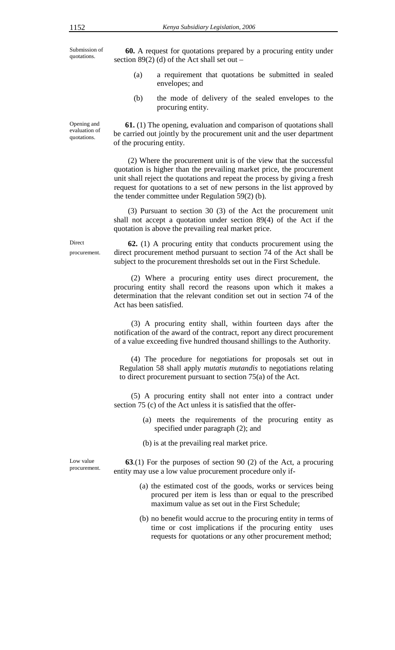Submission of quotations.

Opening and evaluation of quotations.

**60.** A request for quotations prepared by a procuring entity under section  $89(2)$  (d) of the Act shall set out –

- (a) a requirement that quotations be submitted in sealed envelopes; and
- (b) the mode of delivery of the sealed envelopes to the procuring entity.

**61.** (1) The opening, evaluation and comparison of quotations shall be carried out jointly by the procurement unit and the user department of the procuring entity.

(2) Where the procurement unit is of the view that the successful quotation is higher than the prevailing market price, the procurement unit shall reject the quotations and repeat the process by giving a fresh request for quotations to a set of new persons in the list approved by the tender committee under Regulation 59(2) (b).

(3) Pursuant to section 30 (3) of the Act the procurement unit shall not accept a quotation under section 89(4) of the Act if the quotation is above the prevailing real market price.

 **62.** (1) A procuring entity that conducts procurement using the direct procurement method pursuant to section 74 of the Act shall be subject to the procurement thresholds set out in the First Schedule.

(2) Where a procuring entity uses direct procurement, the procuring entity shall record the reasons upon which it makes a determination that the relevant condition set out in section 74 of the Act has been satisfied.

(3) A procuring entity shall, within fourteen days after the notification of the award of the contract, report any direct procurement of a value exceeding five hundred thousand shillings to the Authority.

(4) The procedure for negotiations for proposals set out in Regulation 58 shall apply *mutatis mutandis* to negotiations relating to direct procurement pursuant to section 75(a) of the Act.

(5) A procuring entity shall not enter into a contract under section 75 (c) of the Act unless it is satisfied that the offer-

> (a) meets the requirements of the procuring entity as specified under paragraph (2); and

(b) is at the prevailing real market price.

Low value procurement.

**63**.(1) For the purposes of section 90 (2) of the Act, a procuring entity may use a low value procurement procedure only if-

- (a) the estimated cost of the goods, works or services being procured per item is less than or equal to the prescribed maximum value as set out in the First Schedule;
- (b) no benefit would accrue to the procuring entity in terms of time or cost implications if the procuring entity uses requests for quotations or any other procurement method;

Direct procurement.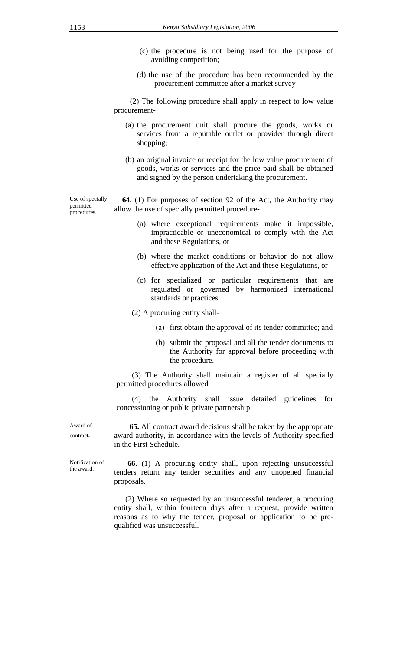- (c) the procedure is not being used for the purpose of avoiding competition;
- (d) the use of the procedure has been recommended by the procurement committee after a market survey

 (2) The following procedure shall apply in respect to low value procurement-

- (a) the procurement unit shall procure the goods, works or services from a reputable outlet or provider through direct shopping;
- (b) an original invoice or receipt for the low value procurement of goods, works or services and the price paid shall be obtained and signed by the person undertaking the procurement.

Use of specially permitted procedures.

**64.** (1) For purposes of section 92 of the Act, the Authority may allow the use of specially permitted procedure**-** 

- (a) where exceptional requirements make it impossible, impracticable or uneconomical to comply with the Act and these Regulations, or
- (b) where the market conditions or behavior do not allow effective application of the Act and these Regulations, or
- (c) for specialized or particular requirements that are regulated or governed by harmonized international standards or practices

(2) A procuring entity shall-

- (a) first obtain the approval of its tender committee; and
- (b) submit the proposal and all the tender documents to the Authority for approval before proceeding with the procedure.

 (3) The Authority shall maintain a register of all specially permitted procedures allowed

 (4) the Authority shall issue detailed guidelines for concessioning or public private partnership

Award of contract**.** 

 **65.** All contract award decisions shall be taken by the appropriate award authority, in accordance with the levels of Authority specified in the First Schedule.

Notification of the award.

 **66.** (1) A procuring entity shall, upon rejecting unsuccessful tenders return any tender securities and any unopened financial proposals.

(2) Where so requested by an unsuccessful tenderer, a procuring entity shall, within fourteen days after a request, provide written reasons as to why the tender, proposal or application to be prequalified was unsuccessful.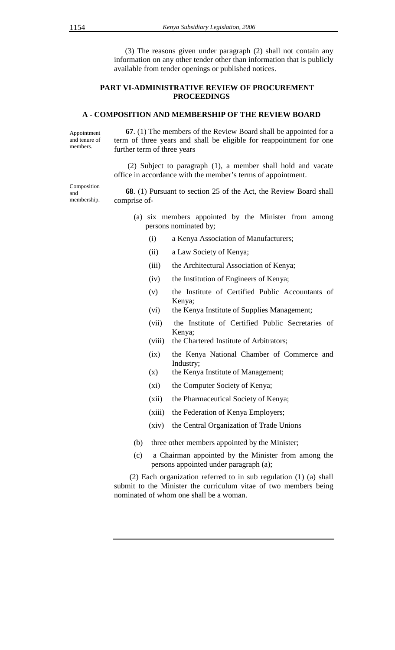(3) The reasons given under paragraph (2) shall not contain any information on any other tender other than information that is publicly available from tender openings or published notices.

## **PART VI-ADMINISTRATIVE REVIEW OF PROCUREMENT PROCEEDINGS**

#### **A - COMPOSITION AND MEMBERSHIP OF THE REVIEW BOARD**

Appointment and tenure of members.  **67**. (1) The members of the Review Board shall be appointed for a term of three years and shall be eligible for reappointment for one further term of three years

> (2) Subject to paragraph (1), a member shall hold and vacate office in accordance with the member's terms of appointment.

 **68**. (1) Pursuant to section 25 of the Act, the Review Board shall comprise of-

- (a) six members appointed by the Minister from among persons nominated by;
	- (i) a Kenya Association of Manufacturers;
	- (ii) a Law Society of Kenya;
	- (iii) the Architectural Association of Kenya;
	- (iv) the Institution of Engineers of Kenya;
	- (v) the Institute of Certified Public Accountants of Kenya;
	- (vi) the Kenya Institute of Supplies Management;
	- (vii) the Institute of Certified Public Secretaries of Kenya;
	- (viii) the Chartered Institute of Arbitrators;
	- (ix) the Kenya National Chamber of Commerce and Industry;
	- (x) the Kenya Institute of Management;
	- (xi) the Computer Society of Kenya;
	- (xii) the Pharmaceutical Society of Kenya;
	- (xiii) the Federation of Kenya Employers;
	- (xiv) the Central Organization of Trade Unions
- (b) three other members appointed by the Minister;
- (c) a Chairman appointed by the Minister from among the persons appointed under paragraph (a);

 (2) Each organization referred to in sub regulation (1) (a) shall submit to the Minister the curriculum vitae of two members being nominated of whom one shall be a woman.

Composition and membership.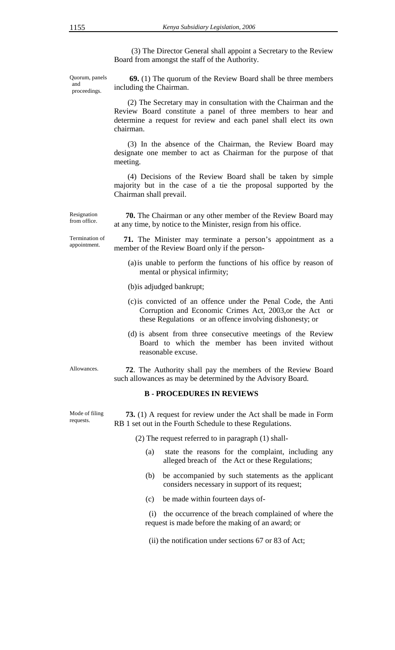(3) The Director General shall appoint a Secretary to the Review Board from amongst the staff of the Authority.

Quorum, panels and proceedings.

 **69.** (1) The quorum of the Review Board shall be three members including the Chairman.

 (2) The Secretary may in consultation with the Chairman and the Review Board constitute a panel of three members to hear and determine a request for review and each panel shall elect its own chairman.

 (3) In the absence of the Chairman, the Review Board may designate one member to act as Chairman for the purpose of that meeting.

 (4) Decisions of the Review Board shall be taken by simple majority but in the case of a tie the proposal supported by the Chairman shall prevail.

 **70.** The Chairman or any other member of the Review Board may at any time, by notice to the Minister, resign from his office.

Termination of appointment.

Resignation from office.

> **71.** The Minister may terminate a person's appointment as a member of the Review Board only if the person-

- (a)is unable to perform the functions of his office by reason of mental or physical infirmity;
- (b)is adjudged bankrupt;
- (c)is convicted of an offence under the Penal Code, the Anti Corruption and Economic Crimes Act, 2003,or the Act or these Regulations or an offence involving dishonesty; or
- (d) is absent from three consecutive meetings of the Review Board to which the member has been invited without reasonable excuse.

Allowances. **72**. The Authority shall pay the members of the Review Board such allowances as may be determined by the Advisory Board.

## **B - PROCEDURES IN REVIEWS**

Mode of filing requests.

 **73.** (1) A request for review under the Act shall be made in Form RB 1 set out in the Fourth Schedule to these Regulations.

(2) The request referred to in paragraph (1) shall-

- (a) state the reasons for the complaint, including any alleged breach of the Act or these Regulations;
- (b) be accompanied by such statements as the applicant considers necessary in support of its request;
- (c) be made within fourteen days of-

 (i) the occurrence of the breach complained of where the request is made before the making of an award; or

(ii) the notification under sections 67 or 83 of Act;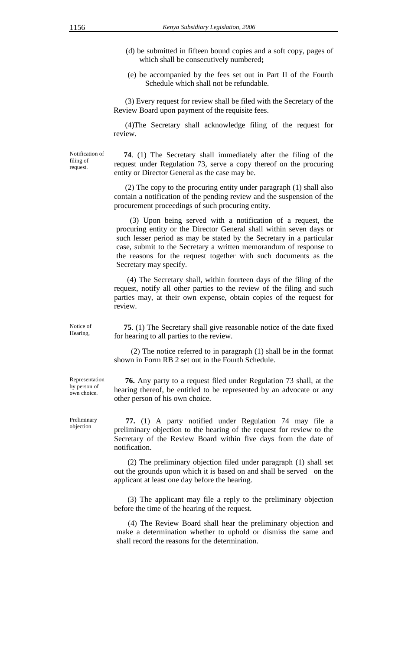- (d) be submitted in fifteen bound copies and a soft copy, pages of which shall be consecutively numbered**;**
- (e) be accompanied by the fees set out in Part II of the Fourth Schedule which shall not be refundable.

(3) Every request for review shall be filed with the Secretary of the Review Board upon payment of the requisite fees.

(4)The Secretary shall acknowledge filing of the request for review.

Notification of filing of request.

 **74**. (1) The Secretary shall immediately after the filing of the request under Regulation 73, serve a copy thereof on the procuring entity or Director General as the case may be.

(2) The copy to the procuring entity under paragraph (1) shall also contain a notification of the pending review and the suspension of the procurement proceedings of such procuring entity.

 (3) Upon being served with a notification of a request, the procuring entity or the Director General shall within seven days or such lesser period as may be stated by the Secretary in a particular case, submit to the Secretary a written memorandum of response to the reasons for the request together with such documents as the Secretary may specify.

 (4) The Secretary shall, within fourteen days of the filing of the request, notify all other parties to the review of the filing and such parties may, at their own expense, obtain copies of the request for review.

Notice of Hearing,

 **75**. (1) The Secretary shall give reasonable notice of the date fixed for hearing to all parties to the review.

(2) The notice referred to in paragraph (1) shall be in the format shown in Form RB 2 set out in the Fourth Schedule.

Representation by person of own choice.

Preliminary objection

 **76.** Any party to a request filed under Regulation 73 shall, at the hearing thereof, be entitled to be represented by an advocate or any other person of his own choice.

 **77.** (1) A party notified under Regulation 74 may file a preliminary objection to the hearing of the request for review to the Secretary of the Review Board within five days from the date of notification.

 (2) The preliminary objection filed under paragraph (1) shall set out the grounds upon which it is based on and shall be served on the applicant at least one day before the hearing.

 (3) The applicant may file a reply to the preliminary objection before the time of the hearing of the request.

 (4) The Review Board shall hear the preliminary objection and make a determination whether to uphold or dismiss the same and shall record the reasons for the determination.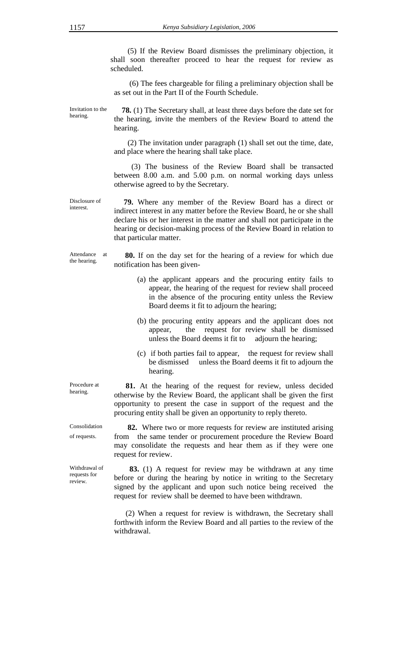(5) If the Review Board dismisses the preliminary objection, it shall soon thereafter proceed to hear the request for review as scheduled.

 (6) The fees chargeable for filing a preliminary objection shall be as set out in the Part II of the Fourth Schedule.

Invitation to the hearing.

 **78.** (1) The Secretary shall, at least three days before the date set for the hearing, invite the members of the Review Board to attend the hearing.

 (2) The invitation under paragraph (1) shall set out the time, date, and place where the hearing shall take place.

 (3) The business of the Review Board shall be transacted between 8.00 a.m. and 5.00 p.m. on normal working days unless otherwise agreed to by the Secretary.

Disclosure of  **79.** Where any member of the Review Board has a direct or indirect interest in any matter before the Review Board, he or she shall declare his or her interest in the matter and shall not participate in the hearing or decision-making process of the Review Board in relation to that particular matter.

Attendance at the hearing.

interest.

**80.** If on the day set for the hearing of a review for which due notification has been given-

- (a) the applicant appears and the procuring entity fails to appear, the hearing of the request for review shall proceed in the absence of the procuring entity unless the Review Board deems it fit to adjourn the hearing;
- (b) the procuring entity appears and the applicant does not appear, the request for review shall be dismissed unless the Board deems it fit to adjourn the hearing;
- (c) if both parties fail to appear, the request for review shall be dismissed unless the Board deems it fit to adjourn the hearing.

 **81.** At the hearing of the request for review, unless decided otherwise by the Review Board, the applicant shall be given the first opportunity to present the case in support of the request and the procuring entity shall be given an opportunity to reply thereto.

 **82.** Where two or more requests for review are instituted arising from the same tender or procurement procedure the Review Board may consolidate the requests and hear them as if they were one request for review.

 **83.** (1) A request for review may be withdrawn at any time before or during the hearing by notice in writing to the Secretary signed by the applicant and upon such notice being received the request for review shall be deemed to have been withdrawn.

 (2) When a request for review is withdrawn, the Secretary shall forthwith inform the Review Board and all parties to the review of the withdrawal.

Procedure at hearing.

Consolidation of requests.

Withdrawal of requests for review.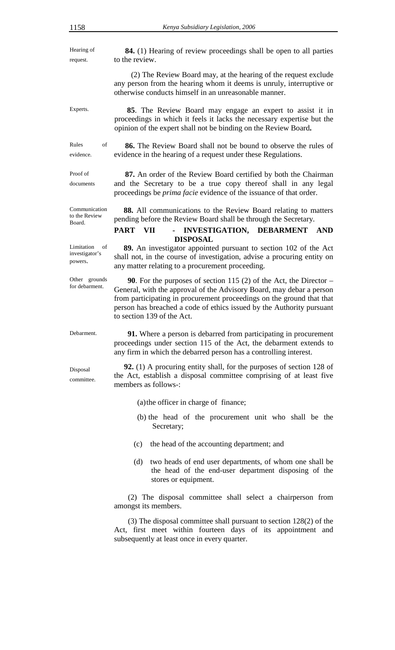Hearing of request.  **84.** (1) Hearing of review proceedings shall be open to all parties to the review. (2) The Review Board may, at the hearing of the request exclude any person from the hearing whom it deems is unruly, interruptive or otherwise conducts himself in an unreasonable manner. Experts. **85**. The Review Board may engage an expert to assist it in proceedings in which it feels it lacks the necessary expertise but the opinion of the expert shall not be binding on the Review Board**.**  Rules of evidence.  **86.** The Review Board shall not be bound to observe the rules of evidence in the hearing of a request under these Regulations. Proof of documents  **87.** An order of the Review Board certified by both the Chairman and the Secretary to be a true copy thereof shall in any legal proceedings be *prima facie* evidence of the issuance of that order. Communication to the Review Board.  **88.** All communications to the Review Board relating to matters pending before the Review Board shall be through the Secretary. **PART VII - INVESTIGATION, DEBARMENT AND DISPOSAL**  Limitation of investigator's powers.  **89.** An investigator appointed pursuant to section 102 of the Act shall not, in the course of investigation, advise a procuring entity on any matter relating to a procurement proceeding. Other grounds for debarment.  **90**. For the purposes of section 115 (2) of the Act, the Director – General, with the approval of the Advisory Board, may debar a person from participating in procurement proceedings on the ground that that person has breached a code of ethics issued by the Authority pursuant to section 139 of the Act. Debarment. **91.** Where a person is debarred from participating in procurement proceedings under section 115 of the Act, the debarment extends to any firm in which the debarred person has a controlling interest. Disposal committee.  **92.** (1) A procuring entity shall, for the purposes of section 128 of the Act, establish a disposal committee comprising of at least five members as follows-: (a)the officer in charge of finance; (b) the head of the procurement unit who shall be the Secretary; (c) the head of the accounting department; and (d) two heads of end user departments, of whom one shall be the head of the end-user department disposing of the stores or equipment. (2) The disposal committee shall select a chairperson from amongst its members. (3) The disposal committee shall pursuant to section 128(2) of the Act, first meet within fourteen days of its appointment and

subsequently at least once in every quarter.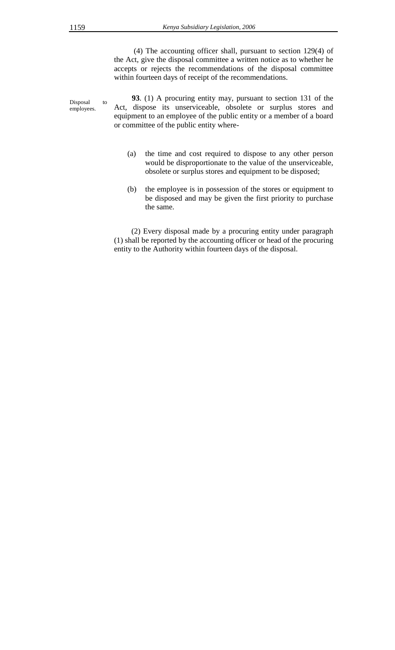(4) The accounting officer shall, pursuant to section 129(4) of the Act, give the disposal committee a written notice as to whether he accepts or rejects the recommendations of the disposal committee within fourteen days of receipt of the recommendations.

Disposal to employees.  **93**. (1) A procuring entity may, pursuant to section 131 of the Act, dispose its unserviceable, obsolete or surplus stores and equipment to an employee of the public entity or a member of a board or committee of the public entity where-

- (a) the time and cost required to dispose to any other person would be disproportionate to the value of the unserviceable, obsolete or surplus stores and equipment to be disposed;
- (b) the employee is in possession of the stores or equipment to be disposed and may be given the first priority to purchase the same.

(2) Every disposal made by a procuring entity under paragraph (1) shall be reported by the accounting officer or head of the procuring entity to the Authority within fourteen days of the disposal.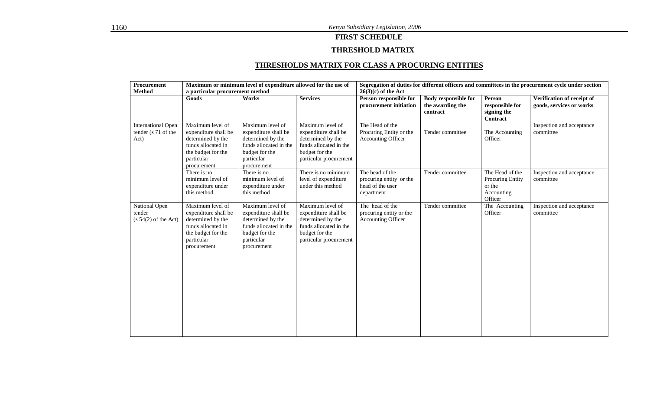## **FIRST SCHEDULE**

## **THRESHOLD MATRIX**

## **THRESHOLDS MATRIX FOR CLASS A PROCURING ENTITIES**

| Procurement                                              | Maximum or minimum level of expenditure allowed for the use of                                                                         |                                                                                                                                        |                                                                                                                                     | Segregation of duties for different officers and committees in the procurement cycle under section |                                                             |                                                                        |                                                        |
|----------------------------------------------------------|----------------------------------------------------------------------------------------------------------------------------------------|----------------------------------------------------------------------------------------------------------------------------------------|-------------------------------------------------------------------------------------------------------------------------------------|----------------------------------------------------------------------------------------------------|-------------------------------------------------------------|------------------------------------------------------------------------|--------------------------------------------------------|
| Method                                                   | a particular procurement method                                                                                                        |                                                                                                                                        |                                                                                                                                     | $26(3)(c)$ of the Act                                                                              |                                                             |                                                                        |                                                        |
|                                                          | Goods                                                                                                                                  | Works                                                                                                                                  | <b>Services</b>                                                                                                                     | Person responsible for<br>procurement initiation                                                   | <b>Body responsible for</b><br>the awarding the<br>contract | Person<br>responsible for<br>signing the<br><b>Contract</b>            | Verification of receipt of<br>goods, services or works |
| <b>International Open</b><br>tender (s 71 of the<br>Act) | Maximum level of<br>expenditure shall be<br>determined by the<br>funds allocated in<br>the budget for the<br>particular<br>procurement | Maximum level of<br>expenditure shall be<br>determined by the<br>funds allocated in the<br>budget for the<br>particular<br>procurement | Maximum level of<br>expenditure shall be<br>determined by the<br>funds allocated in the<br>budget for the<br>particular procurement | The Head of the<br>Procuring Entity or the<br><b>Accounting Officer</b>                            | Tender committee                                            | The Accounting<br>Officer                                              | Inspection and acceptance<br>committee                 |
|                                                          | There is no<br>minimum level of<br>expenditure under<br>this method                                                                    | There is no<br>minimum level of<br>expenditure under<br>this method                                                                    | There is no minimum<br>level of expenditure<br>under this method                                                                    | The head of the<br>procuring entity or the<br>head of the user<br>department                       | Tender committee                                            | The Head of the<br>Procuring Entity<br>or the<br>Accounting<br>Officer | Inspection and acceptance<br>committee                 |
| National Open<br>tender<br>$(s 54(2)$ of the Act)        | Maximum level of<br>expenditure shall be<br>determined by the<br>funds allocated in<br>the budget for the<br>particular<br>procurement | Maximum level of<br>expenditure shall be<br>determined by the<br>funds allocated in the<br>budget for the<br>particular<br>procurement | Maximum level of<br>expenditure shall be<br>determined by the<br>funds allocated in the<br>budget for the<br>particular procurement | The head of the<br>procuring entity or the<br><b>Accounting Officer</b>                            | Tender committee                                            | The Accounting<br>Officer                                              | Inspection and acceptance<br>committee                 |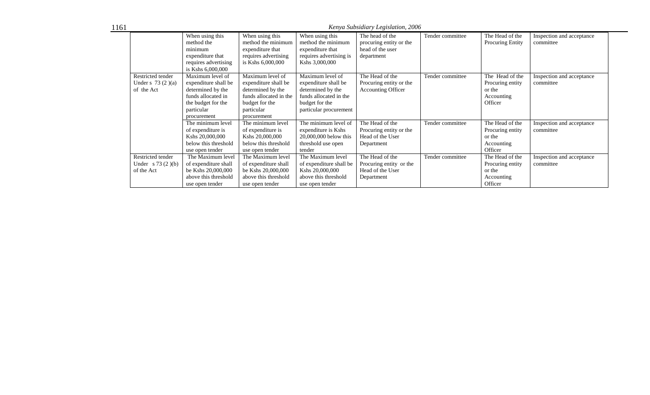1161

*Kenya Subsidiary Legislation, 2006* 

|                                                        | When using this<br>method the<br>minimum<br>expenditure that<br>requires advertising<br>is Kshs 6,000,000                              | When using this<br>method the minimum<br>expenditure that<br>requires advertising<br>is Kshs 6,000,000                                 | When using this<br>method the minimum<br>expenditure that<br>requires advertising is<br>Kshs 3,000,000                              | The head of the<br>procuring entity or the<br>head of the user<br>department | Tender committee | The Head of the<br><b>Procuring Entity</b>                             | Inspection and acceptance<br>committee |
|--------------------------------------------------------|----------------------------------------------------------------------------------------------------------------------------------------|----------------------------------------------------------------------------------------------------------------------------------------|-------------------------------------------------------------------------------------------------------------------------------------|------------------------------------------------------------------------------|------------------|------------------------------------------------------------------------|----------------------------------------|
| Restricted tender<br>Under s $73(2)(a)$<br>of the Act  | Maximum level of<br>expenditure shall be<br>determined by the<br>funds allocated in<br>the budget for the<br>particular<br>procurement | Maximum level of<br>expenditure shall be<br>determined by the<br>funds allocated in the<br>budget for the<br>particular<br>procurement | Maximum level of<br>expenditure shall be<br>determined by the<br>funds allocated in the<br>budget for the<br>particular procurement | The Head of the<br>Procuring entity or the<br><b>Accounting Officer</b>      | Tender committee | The Head of the<br>Procuring entity<br>or the<br>Accounting<br>Officer | Inspection and acceptance<br>committee |
|                                                        | The minimum level<br>of expenditure is<br>Kshs 20,000,000<br>below this threshold<br>use open tender                                   | The minimum level<br>of expenditure is<br>Kshs 20,000,000<br>below this threshold<br>use open tender                                   | The minimum level of<br>expenditure is Kshs<br>$20,000,000$ below this<br>threshold use open<br>tender                              | The Head of the<br>Procuring entity or the<br>Head of the User<br>Department | Tender committee | The Head of the<br>Procuring entity<br>or the<br>Accounting<br>Officer | Inspection and acceptance<br>committee |
| Restricted tender<br>Under $s 73 (2)(b)$<br>of the Act | The Maximum level<br>of expenditure shall<br>be Kshs 20,000,000<br>above this threshold<br>use open tender                             | The Maximum level<br>of expenditure shall<br>be Kshs 20,000,000<br>above this threshold<br>use open tender                             | The Maximum level<br>of expenditure shall be<br>Kshs 20,000,000<br>above this threshold<br>use open tender                          | The Head of the<br>Procuring entity or the<br>Head of the User<br>Department | Tender committee | The Head of the<br>Procuring entity<br>or the<br>Accounting<br>Officer | Inspection and acceptance<br>committee |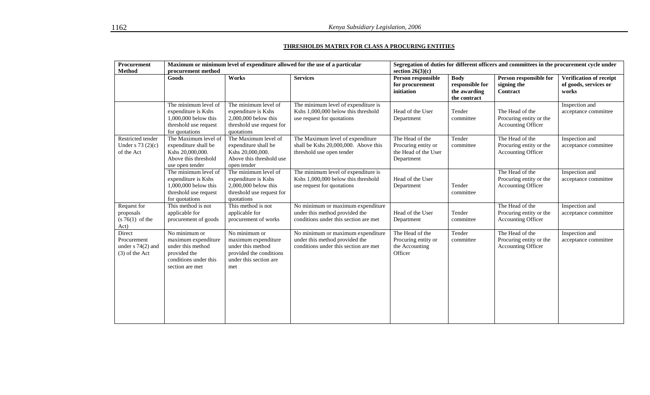#### **THRESHOLDS MATRIX FOR CLASS A PROCURING ENTITIES**

| Procurement<br><b>Method</b>                                     | Maximum or minimum level of expenditure allowed for the use of a particular<br>procurement method                     |                                                                                                                       |                                                                                                              | Segregation of duties for different officers and committees in the procurement cycle under<br>section $26(3)(c)$ |                                                                |                                                                         |                                                           |  |
|------------------------------------------------------------------|-----------------------------------------------------------------------------------------------------------------------|-----------------------------------------------------------------------------------------------------------------------|--------------------------------------------------------------------------------------------------------------|------------------------------------------------------------------------------------------------------------------|----------------------------------------------------------------|-------------------------------------------------------------------------|-----------------------------------------------------------|--|
|                                                                  | Goods                                                                                                                 | Works                                                                                                                 | <b>Services</b>                                                                                              | Person responsible<br>for procurement<br>initiation                                                              | <b>Body</b><br>responsible for<br>the awarding<br>the contract | Person responsible for<br>signing the<br>Contract                       | Verification of receipt<br>of goods, services or<br>works |  |
|                                                                  | The minimum level of<br>expenditure is Kshs<br>1,000,000 below this<br>threshold use request<br>for quotations        | The minimum level of<br>expenditure is Kshs<br>2,000,000 below this<br>threshold use request for<br>quotations        | The minimum level of expenditure is<br>Kshs 1,000,000 below this threshold<br>use request for quotations     | Head of the User<br>Department                                                                                   | Tender<br>committee                                            | The Head of the<br>Procuring entity or the<br><b>Accounting Officer</b> | Inspection and<br>acceptance committee                    |  |
| Restricted tender<br>Under s $73(2)(c)$<br>of the Act            | The Maximum level of<br>expenditure shall be<br>Kshs 20,000,000.<br>Above this threshold<br>use open tender           | The Maximum level of<br>expenditure shall be<br>Kshs 20,000,000.<br>Above this threshold use<br>open tender           | The Maximum level of expenditure<br>shall be Kshs 20,000,000. Above this<br>threshold use open tender        | The Head of the<br>Procuring entity or<br>the Head of the User<br>Department                                     | Tender<br>committee                                            | The Head of the<br>Procuring entity or the<br>Accounting Officer        | Inspection and<br>acceptance committee                    |  |
|                                                                  | The minimum level of<br>expenditure is Kshs<br>1,000,000 below this<br>threshold use request<br>for quotations        | The minimum level of<br>expenditure is Kshs<br>2,000,000 below this<br>threshold use request for<br>quotations        | The minimum level of expenditure is<br>Kshs 1,000,000 below this threshold<br>use request for quotations     | Head of the User<br>Department                                                                                   | Tender<br>committee                                            | The Head of the<br>Procuring entity or the<br>Accounting Officer        | Inspection and<br>acceptance committee                    |  |
| Request for<br>proposals<br>$(s 76(1)$ of the<br>Act)            | This method is not<br>applicable for<br>procurement of goods                                                          | This method is not<br>applicable for<br>procurement of works                                                          | No minimum or maximum expenditure<br>under this method provided the<br>conditions under this section are met | Head of the User<br>Department                                                                                   | Tender<br>committee                                            | The Head of the<br>Procuring entity or the<br>Accounting Officer        | Inspection and<br>acceptance committee                    |  |
| Direct<br>Procurement<br>under $s$ 74(2) and<br>$(3)$ of the Act | No minimum or<br>maximum expenditure<br>under this method<br>provided the<br>conditions under this<br>section are met | No minimum or<br>maximum expenditure<br>under this method<br>provided the conditions<br>under this section are<br>met | No minimum or maximum expenditure<br>under this method provided the<br>conditions under this section are met | The Head of the<br>Procuring entity or<br>the Accounting<br>Officer                                              | Tender<br>committee                                            | The Head of the<br>Procuring entity or the<br>Accounting Officer        | Inspection and<br>acceptance committee                    |  |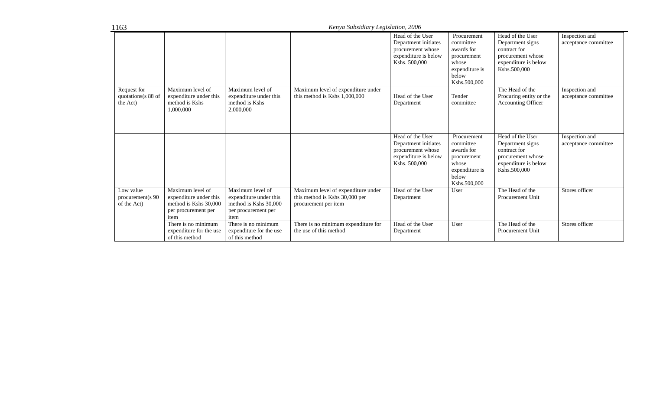| 1163                                          |                                                                                                    |                                                                                                    | Kenya Subsidiary Legislation, 2006                                                           |                                                                                                        |                                                                                                           |                                                                                                                   |                                        |
|-----------------------------------------------|----------------------------------------------------------------------------------------------------|----------------------------------------------------------------------------------------------------|----------------------------------------------------------------------------------------------|--------------------------------------------------------------------------------------------------------|-----------------------------------------------------------------------------------------------------------|-------------------------------------------------------------------------------------------------------------------|----------------------------------------|
|                                               |                                                                                                    |                                                                                                    |                                                                                              | Head of the User<br>Department initiates<br>procurement whose<br>expenditure is below<br>Kshs. 500,000 | Procurement<br>committee<br>awards for<br>procurement<br>whose<br>expenditure is<br>below<br>Kshs.500,000 | Head of the User<br>Department signs<br>contract for<br>procurement whose<br>expenditure is below<br>Kshs.500,000 | Inspection and<br>acceptance committee |
| Request for<br>quotations(s 88 of<br>the Act) | Maximum level of<br>expenditure under this<br>method is Kshs<br>1,000,000                          | Maximum level of<br>expenditure under this<br>method is Kshs<br>2,000,000                          | Maximum level of expenditure under<br>this method is Kshs 1,000,000                          | Head of the User<br>Department                                                                         | Tender<br>committee                                                                                       | The Head of the<br>Procuring entity or the<br><b>Accounting Officer</b>                                           | Inspection and<br>acceptance committee |
|                                               |                                                                                                    |                                                                                                    |                                                                                              | Head of the User<br>Department initiates<br>procurement whose<br>expenditure is below<br>Kshs. 500,000 | Procurement<br>committee<br>awards for<br>procurement<br>whose<br>expenditure is<br>below<br>Kshs.500,000 | Head of the User<br>Department signs<br>contract for<br>procurement whose<br>expenditure is below<br>Kshs.500,000 | Inspection and<br>acceptance committee |
| Low value<br>procurement(s 90<br>of the Act)  | Maximum level of<br>expenditure under this<br>method is Kshs 30,000<br>per procurement per<br>item | Maximum level of<br>expenditure under this<br>method is Kshs 30,000<br>per procurement per<br>item | Maximum level of expenditure under<br>this method is Kshs 30,000 per<br>procurement per item | Head of the User<br>Department                                                                         | User                                                                                                      | The Head of the<br>Procurement Unit                                                                               | Stores officer                         |
|                                               | There is no minimum<br>expenditure for the use<br>of this method                                   | There is no minimum<br>expenditure for the use<br>of this method                                   | There is no minimum expenditure for<br>the use of this method                                | Head of the User<br>Department                                                                         | User                                                                                                      | The Head of the<br>Procurement Unit                                                                               | Stores officer                         |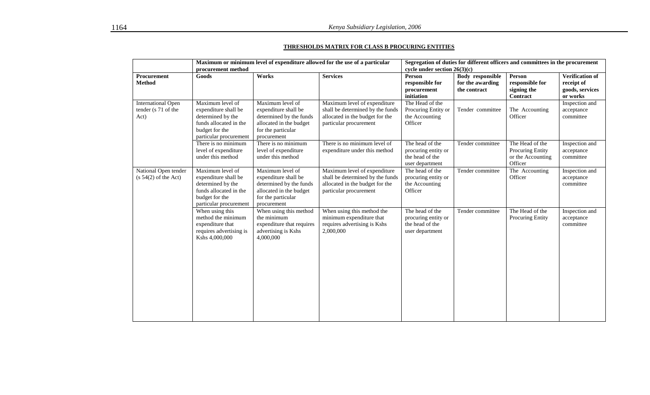#### **THRESHOLDS MATRIX FOR CLASS B PROCURING ENTITIES**

|                                                          | procurement method                                                                                                                  |                                                                                                                                     | Maximum or minimum level of expenditure allowed for the use of a particular                                                   | cycle under section $26(3)(c)$                                               |                                                             | Segregation of duties for different officers and committees in the procurement |                                                                     |
|----------------------------------------------------------|-------------------------------------------------------------------------------------------------------------------------------------|-------------------------------------------------------------------------------------------------------------------------------------|-------------------------------------------------------------------------------------------------------------------------------|------------------------------------------------------------------------------|-------------------------------------------------------------|--------------------------------------------------------------------------------|---------------------------------------------------------------------|
| Procurement<br><b>Method</b>                             | Goods                                                                                                                               | Works                                                                                                                               | <b>Services</b>                                                                                                               | Person<br>responsible for<br>procurement<br>initiation                       | <b>Body</b> responsible<br>for the awarding<br>the contract | Person<br>responsible for<br>signing the<br>Contract                           | <b>Verification of</b><br>receipt of<br>goods, services<br>or works |
| <b>International Open</b><br>tender (s 71 of the<br>Act) | Maximum level of<br>expenditure shall be<br>determined by the<br>funds allocated in the<br>budget for the<br>particular procurement | Maximum level of<br>expenditure shall be<br>determined by the funds<br>allocated in the budget<br>for the particular<br>procurement | Maximum level of expenditure<br>shall be determined by the funds<br>allocated in the budget for the<br>particular procurement | The Head of the<br>Procuring Entity or<br>the Accounting<br>Officer          | Tender committee                                            | The Accounting<br>Officer                                                      | Inspection and<br>acceptance<br>committee                           |
|                                                          | There is no minimum<br>level of expenditure<br>under this method                                                                    | There is no minimum<br>level of expenditure<br>under this method                                                                    | There is no minimum level of<br>expenditure under this method                                                                 | The head of the<br>procuring entity or<br>the head of the<br>user department | Tender committee                                            | The Head of the<br>Procuring Entity<br>or the Accounting<br>Officer            | Inspection and<br>acceptance<br>committee                           |
| National Open tender<br>$(s 54(2)$ of the Act)           | Maximum level of<br>expenditure shall be<br>determined by the<br>funds allocated in the<br>budget for the<br>particular procurement | Maximum level of<br>expenditure shall be<br>determined by the funds<br>allocated in the budget<br>for the particular<br>procurement | Maximum level of expenditure<br>shall be determined by the funds<br>allocated in the budget for the<br>particular procurement | The head of the<br>procuring entity or<br>the Accounting<br>Officer          | Tender committee                                            | The Accounting<br>Officer                                                      | Inspection and<br>acceptance<br>committee                           |
|                                                          | When using this<br>method the minimum<br>expenditure that<br>requires advertising is<br>Kshs 4,000,000                              | When using this method<br>the minimum<br>expenditure that requires<br>advertising is Kshs<br>4,000,000                              | When using this method the<br>minimum expenditure that<br>requires advertising is Kshs<br>2,000,000                           | The head of the<br>procuring entity or<br>the head of the<br>user department | Tender committee                                            | The Head of the<br>Procuring Entity                                            | Inspection and<br>acceptance<br>committee                           |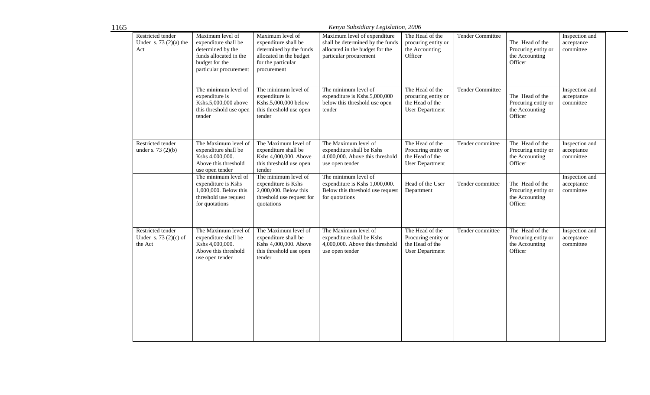|                                                        | Kenya Subsidiary Legislation, 2006                                                                                                  |                                                                                                                                     |                                                                                                                               |                                                                                     |                         |                                                                     |                                           |  |
|--------------------------------------------------------|-------------------------------------------------------------------------------------------------------------------------------------|-------------------------------------------------------------------------------------------------------------------------------------|-------------------------------------------------------------------------------------------------------------------------------|-------------------------------------------------------------------------------------|-------------------------|---------------------------------------------------------------------|-------------------------------------------|--|
| Restricted tender<br>Under s. $73(2)(a)$ the<br>Act    | Maximum level of<br>expenditure shall be<br>determined by the<br>funds allocated in the<br>budget for the<br>particular procurement | Maximum level of<br>expenditure shall be<br>determined by the funds<br>allocated in the budget<br>for the particular<br>procurement | Maximum level of expenditure<br>shall be determined by the funds<br>allocated in the budget for the<br>particular procurement | The Head of the<br>procuring entity or<br>the Accounting<br>Officer                 | <b>Tender Committee</b> | The Head of the<br>Procuring entity or<br>the Accounting<br>Officer | Inspection and<br>acceptance<br>committee |  |
|                                                        | The minimum level of<br>expenditure is<br>Kshs.5,000,000 above<br>this threshold use open<br>tender                                 | The minimum level of<br>expenditure is<br>Kshs.5,000,000 below<br>this threshold use open<br>tender                                 | The minimum level of<br>expenditure is Kshs.5,000,000<br>below this threshold use open<br>tender                              | The Head of the<br>procuring entity or<br>the Head of the<br><b>User Department</b> | <b>Tender Committee</b> | The Head of the<br>Procuring entity or<br>the Accounting<br>Officer | Inspection and<br>acceptance<br>committee |  |
| Restricted tender<br>under s. 73 $(2)(b)$              | The Maximum level of<br>expenditure shall be<br>Kshs 4,000,000.<br>Above this threshold<br>use open tender                          | The Maximum level of<br>expenditure shall be<br>Kshs 4,000,000. Above<br>this threshold use open<br>tender                          | The Maximum level of<br>expenditure shall be Kshs<br>4,000,000. Above this threshold<br>use open tender                       | The Head of the<br>Procuring entity or<br>the Head of the<br><b>User Department</b> | Tender committee        | The Head of the<br>Procuring entity or<br>the Accounting<br>Officer | Inspection and<br>acceptance<br>committee |  |
|                                                        | The minimum level of<br>expenditure is Kshs<br>1,000,000. Below this<br>threshold use request<br>for quotations                     | The minimum level of<br>expenditure is Kshs<br>2,000,000. Below this<br>threshold use request for<br>quotations                     | The minimum level of<br>expenditure is Kshs 1,000,000.<br>Below this threshold use request<br>for quotations                  | Head of the User<br>Department                                                      | Tender committee        | The Head of the<br>Procuring entity or<br>the Accounting<br>Officer | Inspection and<br>acceptance<br>committee |  |
| Restricted tender<br>Under s. $73(2)(c)$ of<br>the Act | The Maximum level of<br>expenditure shall be<br>Kshs 4,000,000.<br>Above this threshold<br>use open tender                          | The Maximum level of<br>expenditure shall be<br>Kshs 4,000,000. Above<br>this threshold use open<br>tender                          | The Maximum level of<br>expenditure shall be Kshs<br>$4,000,000$ . Above this threshold<br>use open tender                    | The Head of the<br>Procuring entity or<br>the Head of the<br><b>User Department</b> | Tender committee        | The Head of the<br>Procuring entity or<br>the Accounting<br>Officer | Inspection and<br>acceptance<br>committee |  |
|                                                        |                                                                                                                                     |                                                                                                                                     |                                                                                                                               |                                                                                     |                         |                                                                     |                                           |  |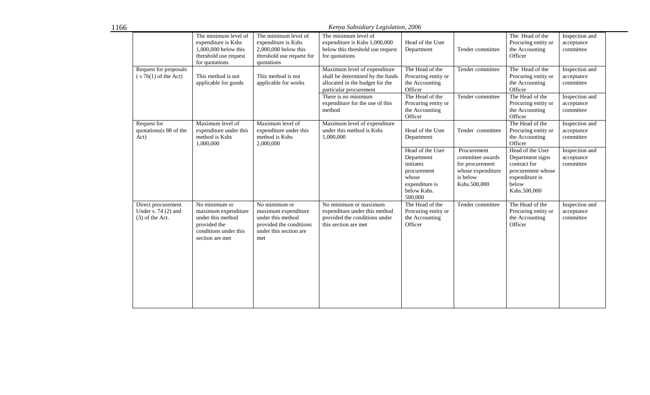1166

*Kenya Subsidiary Legislation, 2006* 

|                                                                 | The minimum level of<br>expenditure is Kshs<br>1,000,000 below this<br>threshold use request<br>for quotations        | The minimum level of<br>expenditure is Kshs<br>2,000,000 below this<br>threshold use request for<br>quotations        | The minimum level of<br>expenditure is Kshs 1,000,000<br>below this threshold use request<br>for quotations                                                                                       | Head of the User<br>Department                                                                                                             | Tender committee                                                                     | The Head of the<br>Procuring entity or<br>the Accounting<br>Officer                                                                        | Inspection and<br>acceptance<br>committee                                              |
|-----------------------------------------------------------------|-----------------------------------------------------------------------------------------------------------------------|-----------------------------------------------------------------------------------------------------------------------|---------------------------------------------------------------------------------------------------------------------------------------------------------------------------------------------------|--------------------------------------------------------------------------------------------------------------------------------------------|--------------------------------------------------------------------------------------|--------------------------------------------------------------------------------------------------------------------------------------------|----------------------------------------------------------------------------------------|
| Request for proposals<br>$(s 76(1)$ of the Act)                 | This method is not<br>applicable for goods                                                                            | This method is not<br>applicable for works                                                                            | Maximum level of expenditure<br>shall be determined by the funds<br>allocated in the budget for the<br>particular procurement<br>There is no minimum<br>expenditure for the use of this<br>method | The Head of the<br>Procuring entity or<br>the Accounting<br>Officer<br>The Head of the<br>Procuring entity or<br>the Accounting<br>Officer | Tender committee<br>Tender committee                                                 | The Head of the<br>Procuring entity or<br>the Accounting<br>Officer<br>The Head of the<br>Procuring entity or<br>the Accounting<br>Officer | Inspection and<br>acceptance<br>committee<br>Inspection and<br>acceptance<br>committee |
| Request for<br>quotations(s 88 of the<br>Act)                   | Maximum level of<br>expenditure under this<br>method is Kshs<br>1,000,000                                             | Maximum level of<br>expenditure under this<br>method is Kshs<br>2,000,000                                             | Maximum level of expenditure<br>under this method is Kshs<br>1,000,000                                                                                                                            | Head of the User<br>Department<br>Head of the User                                                                                         | Tender committee<br>Procurement                                                      | The Head of the<br>Procuring entity or<br>the Accounting<br>Officer<br>Head of the User                                                    | Inspection and<br>acceptance<br>committee<br>Inspection and                            |
|                                                                 |                                                                                                                       |                                                                                                                       |                                                                                                                                                                                                   | Department<br>initiates<br>procurement<br>whose<br>expenditure is<br>below Kshs.<br>500,000                                                | committee awards<br>for procurement<br>whose expenditure<br>is below<br>Kshs.500,000 | Department signs<br>contract for<br>procurement whose<br>expenditure is<br>below<br>Kshs.500,000                                           | acceptance<br>committee                                                                |
| Direct procurement<br>Under s. $74(2)$ and<br>$(3)$ of the Act. | No minimum or<br>maximum expenditure<br>under this method<br>provided the<br>conditions under this<br>section are met | No minimum or<br>maximum expenditure<br>under this method<br>provided the conditions<br>under this section are<br>met | No minimum or maximum<br>expenditure under this method<br>provided the conditions under<br>this section are met                                                                                   | The Head of the<br>Procuring entity or<br>the Accounting<br>Officer                                                                        | Tender committee                                                                     | The Head of the<br>Procuring entity or<br>the Accounting<br>Officer                                                                        | Inspection and<br>acceptance<br>committee                                              |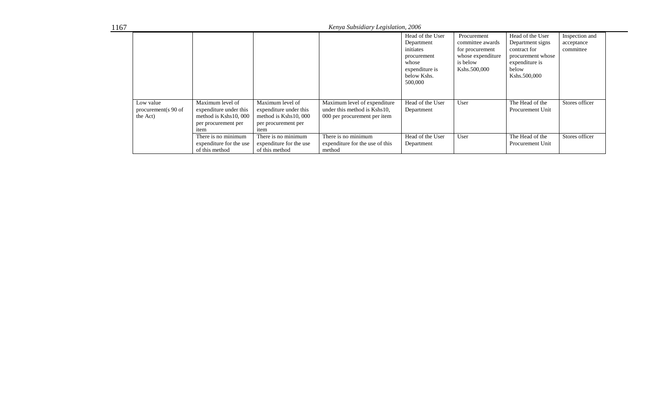| 1167 |                                              |                                                                                                    |                                                                                                     | Kenya Subsidiary Legislation, 2006                                                           |                                                                                                                 |                                                                                                     |                                                                                                                      |                                           |  |
|------|----------------------------------------------|----------------------------------------------------------------------------------------------------|-----------------------------------------------------------------------------------------------------|----------------------------------------------------------------------------------------------|-----------------------------------------------------------------------------------------------------------------|-----------------------------------------------------------------------------------------------------|----------------------------------------------------------------------------------------------------------------------|-------------------------------------------|--|
|      |                                              |                                                                                                    |                                                                                                     |                                                                                              | Head of the User<br>Department<br>initiates<br>procurement<br>whose<br>expenditure is<br>below Kshs.<br>500,000 | Procurement<br>committee awards<br>for procurement<br>whose expenditure<br>is below<br>Kshs.500,000 | Head of the User<br>Department signs<br>contract for<br>procurement whose<br>expenditure is<br>below<br>Kshs.500,000 | Inspection and<br>acceptance<br>committee |  |
|      | Low value<br>procurement(s 90 of<br>the Act) | Maximum level of<br>expenditure under this<br>method is Kshs10, 000<br>per procurement per<br>item | Maximum level of<br>expenditure under this<br>method is $Kshs10,000$<br>per procurement per<br>item | Maximum level of expenditure<br>under this method is Kshs10.<br>000 per procurement per item | Head of the User<br>Department                                                                                  | User                                                                                                | The Head of the<br>Procurement Unit                                                                                  | Stores officer                            |  |
|      |                                              | There is no minimum<br>expenditure for the use<br>of this method                                   | There is no minimum<br>expenditure for the use<br>of this method                                    | There is no minimum<br>expenditure for the use of this<br>method                             | Head of the User<br>Department                                                                                  | User                                                                                                | The Head of the<br>Procurement Unit                                                                                  | Stores officer                            |  |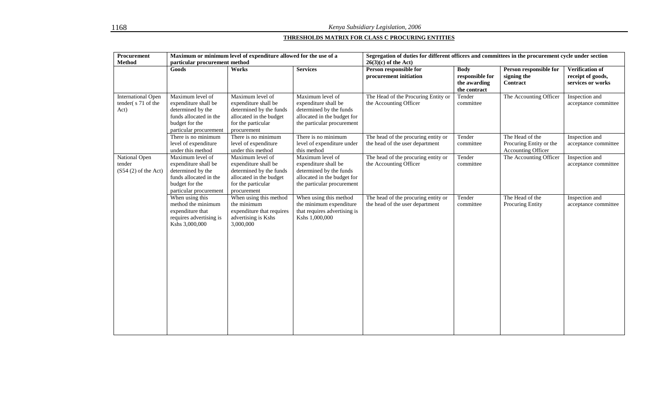## **THRESHOLDS MATRIX FOR CLASS C PROCURING ENTITIES**

| Procurement                                            | Maximum or minimum level of expenditure allowed for the use of a                                                                    |                                                                                                                                     |                                                                                                                                  | Segregation of duties for different officers and committees in the procurement cycle under section |                                                                |                                                                  |                                                                  |  |
|--------------------------------------------------------|-------------------------------------------------------------------------------------------------------------------------------------|-------------------------------------------------------------------------------------------------------------------------------------|----------------------------------------------------------------------------------------------------------------------------------|----------------------------------------------------------------------------------------------------|----------------------------------------------------------------|------------------------------------------------------------------|------------------------------------------------------------------|--|
| <b>Method</b>                                          | particular procurement method                                                                                                       |                                                                                                                                     |                                                                                                                                  | $26(3)(c)$ of the Act)                                                                             |                                                                |                                                                  |                                                                  |  |
|                                                        | Goods                                                                                                                               | Works                                                                                                                               | <b>Services</b>                                                                                                                  | Person responsible for<br>procurement initiation                                                   | <b>Body</b><br>responsible for<br>the awarding<br>the contract | Person responsible for<br>signing the<br>Contract                | <b>Verification of</b><br>receipt of goods,<br>services or works |  |
| <b>International Open</b><br>tender(s71 of the<br>Act) | Maximum level of<br>expenditure shall be<br>determined by the<br>funds allocated in the<br>budget for the<br>particular procurement | Maximum level of<br>expenditure shall be<br>determined by the funds<br>allocated in the budget<br>for the particular<br>procurement | Maximum level of<br>expenditure shall be<br>determined by the funds<br>allocated in the budget for<br>the particular procurement | The Head of the Procuring Entity or<br>the Accounting Officer                                      | Tender<br>committee                                            | The Accounting Officer                                           | Inspection and<br>acceptance committee                           |  |
|                                                        | There is no minimum<br>level of expenditure<br>under this method                                                                    | There is no minimum<br>level of expenditure<br>under this method                                                                    | There is no minimum<br>level of expenditure under<br>this method                                                                 | The head of the procuring entity or<br>the head of the user department                             | Tender<br>committee                                            | The Head of the<br>Procuring Entity or the<br>Accounting Officer | Inspection and<br>acceptance committee                           |  |
| National Open<br>tender<br>$(S54(2)$ of the Act)       | Maximum level of<br>expenditure shall be<br>determined by the<br>funds allocated in the<br>budget for the<br>particular procurement | Maximum level of<br>expenditure shall be<br>determined by the funds<br>allocated in the budget<br>for the particular<br>procurement | Maximum level of<br>expenditure shall be<br>determined by the funds<br>allocated in the budget for<br>the particular procurement | The head of the procuring entity or<br>the Accounting Officer                                      | Tender<br>committee                                            | The Accounting Officer                                           | Inspection and<br>acceptance committee                           |  |
|                                                        | When using this<br>method the minimum<br>expenditure that<br>requires advertising is<br>Kshs 3,000,000                              | When using this method<br>the minimum<br>expenditure that requires<br>advertising is Kshs<br>3,000,000                              | When using this method<br>the minimum expenditure<br>that requires advertising is<br>Kshs 1,000,000                              | The head of the procuring entity or<br>the head of the user department                             | Tender<br>committee                                            | The Head of the<br>Procuring Entity                              | Inspection and<br>acceptance committee                           |  |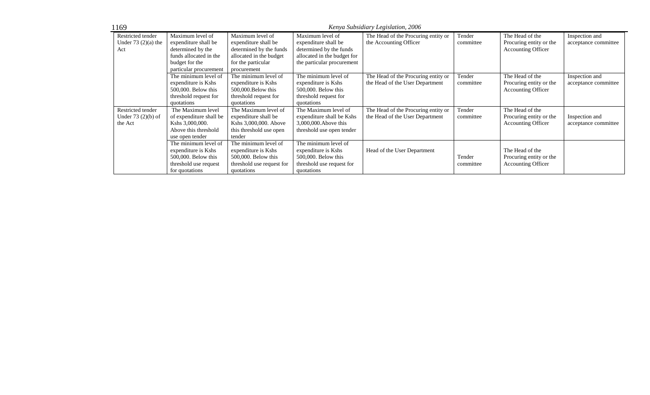| 1169                 |                         |                           |                             | Kenya Subsidiary Legislation, 2006  |           |                           |                      |
|----------------------|-------------------------|---------------------------|-----------------------------|-------------------------------------|-----------|---------------------------|----------------------|
| Restricted tender    | Maximum level of        | Maximum level of          | Maximum level of            | The Head of the Procuring entity or | Tender    | The Head of the           | Inspection and       |
| Under $73(2)(a)$ the | expenditure shall be    | expenditure shall be      | expenditure shall be        | the Accounting Officer              | committee | Procuring entity or the   | acceptance committee |
| Act                  | determined by the       | determined by the funds   | determined by the funds     |                                     |           | <b>Accounting Officer</b> |                      |
|                      | funds allocated in the  | allocated in the budget   | allocated in the budget for |                                     |           |                           |                      |
|                      | budget for the          | for the particular        | the particular procurement  |                                     |           |                           |                      |
|                      | particular procurement  | procurement               |                             |                                     |           |                           |                      |
|                      | The minimum level of    | The minimum level of      | The minimum level of        | The Head of the Procuring entity or | Tender    | The Head of the           | Inspection and       |
|                      | expenditure is Kshs     | expenditure is Kshs       | expenditure is Kshs         | the Head of the User Department     | committee | Procuring entity or the   | acceptance committee |
|                      | 500,000. Below this     | 500,000. Below this       | 500,000. Below this         |                                     |           | <b>Accounting Officer</b> |                      |
|                      | threshold request for   | threshold request for     | threshold request for       |                                     |           |                           |                      |
|                      | quotations              | quotations                | quotations                  |                                     |           |                           |                      |
| Restricted tender    | The Maximum level       | The Maximum level of      | The Maximum level of        | The Head of the Procuring entity or | Tender    | The Head of the           |                      |
| Under $73(2)(b)$ of  | of expenditure shall be | expenditure shall be      | expenditure shall be Kshs   | the Head of the User Department     | committee | Procuring entity or the   | Inspection and       |
| the Act              | Kshs 3,000,000.         | Kshs 3,000,000. Above     | 3,000,000. Above this       |                                     |           | <b>Accounting Officer</b> | acceptance committee |
|                      | Above this threshold    | this threshold use open   | threshold use open tender   |                                     |           |                           |                      |
|                      | use open tender         | tender                    |                             |                                     |           |                           |                      |
|                      | The minimum level of    | The minimum level of      | The minimum level of        |                                     |           |                           |                      |
|                      | expenditure is Kshs     | expenditure is Kshs       | expenditure is Kshs         | Head of the User Department         |           | The Head of the           |                      |
|                      | 500,000. Below this     | 500,000. Below this       | 500,000. Below this         |                                     | Tender    | Procuring entity or the   |                      |
|                      | threshold use request   | threshold use request for | threshold use request for   |                                     | committee | <b>Accounting Officer</b> |                      |
|                      | for quotations          | quotations                | quotations                  |                                     |           |                           |                      |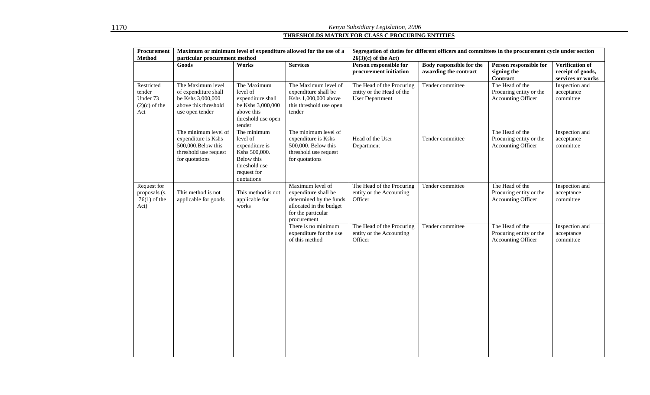# *Kenya Subsidiary Legislation, 2006*  **THRESHOLDS MATRIX FOR CLASS C PROCURING ENTITIES**

| Procurement<br><b>Method</b>                               | Maximum or minimum level of expenditure allowed for the use of a<br>particular procurement method             |                                                                                                                        | Segregation of duties for different officers and committees in the procurement cycle under section<br>$26(3)(c)$ of the Act)        |                                                                                  |                                                          |                                                                         |                                                                  |
|------------------------------------------------------------|---------------------------------------------------------------------------------------------------------------|------------------------------------------------------------------------------------------------------------------------|-------------------------------------------------------------------------------------------------------------------------------------|----------------------------------------------------------------------------------|----------------------------------------------------------|-------------------------------------------------------------------------|------------------------------------------------------------------|
|                                                            | Goods                                                                                                         | Works                                                                                                                  | <b>Services</b>                                                                                                                     | Person responsible for<br>procurement initiation                                 | <b>Body responsible for the</b><br>awarding the contract | Person responsible for<br>signing the<br><b>Contract</b>                | <b>Verification of</b><br>receipt of goods,<br>services or works |
| Restricted<br>tender<br>Under 73<br>$(2)(c)$ of the<br>Act | The Maximum level<br>of expenditure shall<br>be Kshs 3,000,000<br>above this threshold<br>use open tender     | The Maximum<br>level of<br>expenditure shall<br>be Kshs 3,000,000<br>above this<br>threshold use open<br>tender        | The Maximum level of<br>expenditure shall be<br>Kshs 1,000,000 above<br>this threshold use open<br>tender                           | The Head of the Procuring<br>entity or the Head of the<br><b>User Department</b> | Tender committee                                         | The Head of the<br>Procuring entity or the<br>Accounting Officer        | Inspection and<br>acceptance<br>committee                        |
|                                                            | The minimum level of<br>expenditure is Kshs<br>500,000. Below this<br>threshold use request<br>for quotations | The minimum<br>level of<br>expenditure is<br>Kshs 500,000.<br>Below this<br>threshold use<br>request for<br>quotations | The minimum level of<br>expenditure is Kshs<br>500,000. Below this<br>threshold use request<br>for quotations                       | Head of the User<br>Department                                                   | Tender committee                                         | The Head of the<br>Procuring entity or the<br><b>Accounting Officer</b> | Inspection and<br>acceptance<br>committee                        |
| Request for<br>proposals (s.<br>$76(1)$ of the<br>Act)     | This method is not<br>applicable for goods                                                                    | This method is not<br>applicable for<br>works                                                                          | Maximum level of<br>expenditure shall be<br>determined by the funds<br>allocated in the budget<br>for the particular<br>procurement | The Head of the Procuring<br>entity or the Accounting<br>Officer                 | Tender committee                                         | The Head of the<br>Procuring entity or the<br><b>Accounting Officer</b> | Inspection and<br>acceptance<br>committee                        |
|                                                            |                                                                                                               |                                                                                                                        | There is no minimum<br>expenditure for the use<br>of this method                                                                    | The Head of the Procuring<br>entity or the Accounting<br>Officer                 | Tender committee                                         | The Head of the<br>Procuring entity or the<br>Accounting Officer        | Inspection and<br>acceptance<br>committee                        |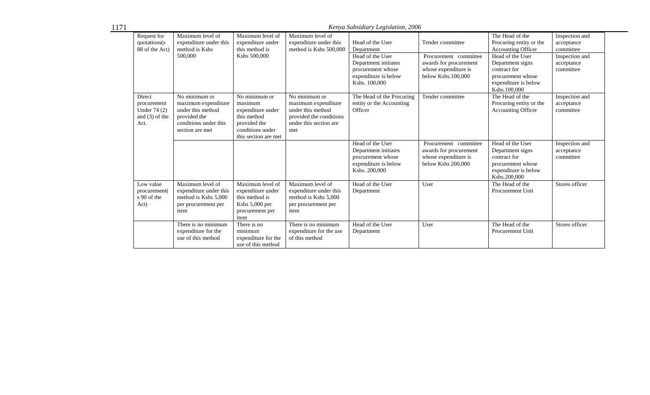1171

*Kenya Subsidiary Legislation, 2006* 

| Request for<br>quotations(s)<br>88 of the Act)                    | Maximum level of<br>expenditure under this<br>method is Kshs<br>500,000                                               | Maximum level of<br>expenditure under<br>this method is<br>Kshs 500,000                                                  | Maximum level of<br>expenditure under this<br>method is Kshs 500,000                                                  | Head of the User<br>Department<br>Head of the User<br>Department initiates<br>procurement whose<br>expenditure is below<br>Kshs. 100,000 | Tender committee<br>Procurement committee<br>awards for procurement<br>whose expenditure is<br>below Kshs.100,000 | The Head of the<br>Procuring entity or the<br><b>Accounting Officer</b><br>Head of the User<br>Department signs<br>contract for<br>procurement whose<br>expenditure is below<br>Kshs.100.000 | Inspection and<br>acceptance<br>committee<br>Inspection and<br>acceptance<br>committee |
|-------------------------------------------------------------------|-----------------------------------------------------------------------------------------------------------------------|--------------------------------------------------------------------------------------------------------------------------|-----------------------------------------------------------------------------------------------------------------------|------------------------------------------------------------------------------------------------------------------------------------------|-------------------------------------------------------------------------------------------------------------------|----------------------------------------------------------------------------------------------------------------------------------------------------------------------------------------------|----------------------------------------------------------------------------------------|
| Direct<br>procurement<br>Under 74 (2)<br>and $(3)$ of the<br>Act. | No minimum or<br>maximum expenditure<br>under this method<br>provided the<br>conditions under this<br>section are met | No minimum or<br>maximum<br>expenditure under<br>this method<br>provided the<br>conditions under<br>this section are met | No minimum or<br>maximum expenditure<br>under this method<br>provided the conditions<br>under this section are<br>met | The Head of the Procuring<br>entity or the Accounting<br>Officer                                                                         | Tender committee                                                                                                  | The Head of the<br>Procuring entity or the<br><b>Accounting Officer</b>                                                                                                                      | Inspection and<br>acceptance<br>committee                                              |
|                                                                   |                                                                                                                       |                                                                                                                          |                                                                                                                       | Head of the User<br>Department initiates<br>procurement whose<br>expenditure is below<br>Kshs. 200,000                                   | Procurement committee<br>awards for procurement<br>whose expenditure is<br>below Kshs 200,000                     | Head of the User<br>Department signs<br>contract for<br>procurement whose<br>expenditure is below<br>Kshs.200,000                                                                            | Inspection and<br>acceptance<br>committee                                              |
| Low value<br>procurement(<br>s 90 of the<br>Act)                  | Maximum level of<br>expenditure under this<br>method is Kshs 5,000<br>per procurement per<br>item                     | Maximum level of<br>expenditure under<br>this method is<br>Kshs 5,000 per<br>procurement per<br>item                     | Maximum level of<br>expenditure under this<br>method is Kshs 5,000<br>per procurement per<br>item                     | Head of the User<br>Department                                                                                                           | User                                                                                                              | The Head of the<br>Procurement Unit                                                                                                                                                          | Stores officer                                                                         |
|                                                                   | There is no minimum<br>expenditure for the<br>use of this method                                                      | There is no<br>minimum<br>expenditure for the<br>use of this method                                                      | There is no minimum<br>expenditure for the use<br>of this method                                                      | Head of the User<br>Department                                                                                                           | User                                                                                                              | The Head of the<br>Procurement Unit                                                                                                                                                          | Stores officer                                                                         |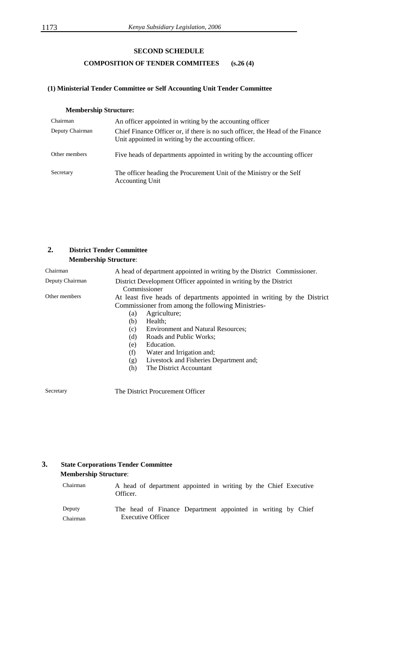## **SECOND SCHEDULE**

## **COMPOSITION OF TENDER COMMITEES (s.26 (4)**

#### **(1) Ministerial Tender Committee or Self Accounting Unit Tender Committee**

## **Membership Structure:**

| Chairman        | An officer appointed in writing by the accounting officer                                                                              |
|-----------------|----------------------------------------------------------------------------------------------------------------------------------------|
| Deputy Chairman | Chief Finance Officer or, if there is no such officer, the Head of the Finance<br>Unit appointed in writing by the accounting officer. |
| Other members   | Five heads of departments appointed in writing by the accounting officer                                                               |
| Secretary       | The officer heading the Procurement Unit of the Ministry or the Self<br><b>Accounting Unit</b>                                         |

## **2. District Tender Committee Membership Structure**:

| Chairman        | A head of department appointed in writing by the District Commissioner.                                                                                                                                                                                                                                                                                                                                  |
|-----------------|----------------------------------------------------------------------------------------------------------------------------------------------------------------------------------------------------------------------------------------------------------------------------------------------------------------------------------------------------------------------------------------------------------|
| Deputy Chairman | District Development Officer appointed in writing by the District<br>Commissioner                                                                                                                                                                                                                                                                                                                        |
| Other members   | At least five heads of departments appointed in writing by the District<br>Commissioner from among the following Ministries-<br>Agriculture;<br>(a)<br>Health:<br>(b)<br><b>Environment and Natural Resources;</b><br>(c)<br>(d)<br>Roads and Public Works:<br>Education.<br>(e)<br>(f)<br>Water and Irrigation and;<br>Livestock and Fisheries Department and;<br>(g)<br>The District Accountant<br>(h) |
|                 |                                                                                                                                                                                                                                                                                                                                                                                                          |

Secretary The District Procurement Officer

## **3. State Corporations Tender Committee Membership Structure**:

| Chairman | A head of department appointed in writing by the Chief Executive<br>Officer. |
|----------|------------------------------------------------------------------------------|
| Deputy   | The head of Finance Department appointed in writing by Chief                 |
| Chairman | <b>Executive Officer</b>                                                     |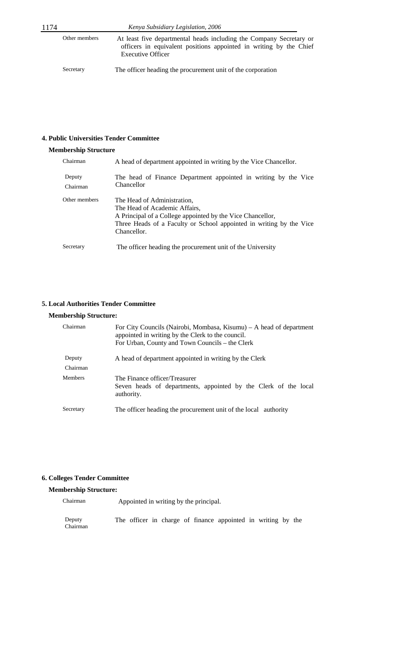Secretary The officer heading the procurement unit of the corporation

## **4. Public Universities Tender Committee**

## **Membership Structure**

| Chairman           | A head of department appointed in writing by the Vice Chancellor.                                                                                                                                                |
|--------------------|------------------------------------------------------------------------------------------------------------------------------------------------------------------------------------------------------------------|
| Deputy<br>Chairman | The head of Finance Department appointed in writing by the Vice<br>Chancellor                                                                                                                                    |
| Other members      | The Head of Administration,<br>The Head of Academic Affairs,<br>A Principal of a College appointed by the Vice Chancellor,<br>Three Heads of a Faculty or School appointed in writing by the Vice<br>Chancellor. |
| Secretary          | The officer heading the procurement unit of the University                                                                                                                                                       |

## **5. Local Authorities Tender Committee**

#### **Membership Structure:**

| Chairman           | For City Councils (Nairobi, Mombasa, Kisumu) – A head of department<br>appointed in writing by the Clerk to the council.<br>For Urban, County and Town Councils – the Clerk |
|--------------------|-----------------------------------------------------------------------------------------------------------------------------------------------------------------------------|
| Deputy<br>Chairman | A head of department appointed in writing by the Clerk                                                                                                                      |
| <b>Members</b>     | The Finance officer/Treasurer<br>Seven heads of departments, appointed by the Clerk of the local<br>authority.                                                              |
| Secretary          | The officer heading the procurement unit of the local authority                                                                                                             |

#### **6. Colleges Tender Committee**

## **Membership Structure:**

Chairman Appointed in writing by the principal.

Deputy Chairman The officer in charge of finance appointed in writing by the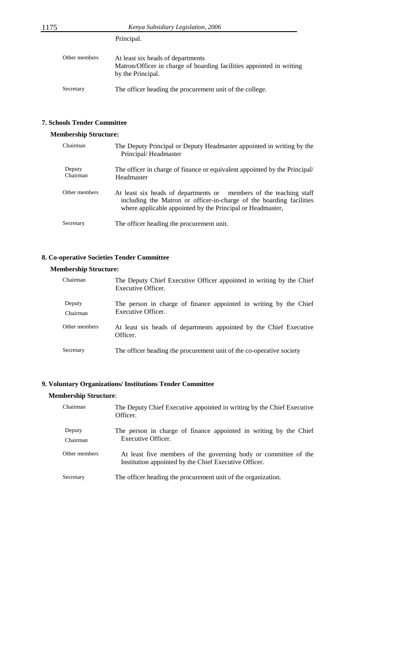Principal.

| Other members | At least six heads of departments<br>Matron/Officer in charge of boarding facilities appointed in writing<br>by the Principal. |
|---------------|--------------------------------------------------------------------------------------------------------------------------------|
| Secretary     | The officer heading the procurement unit of the college.                                                                       |

## **7. Schools Tender Committee**

## **Membership Structure:**

| Chairman           | The Deputy Principal or Deputy Headmaster appointed in writing by the<br>Principal/Headmaster                                                                                                            |
|--------------------|----------------------------------------------------------------------------------------------------------------------------------------------------------------------------------------------------------|
| Deputy<br>Chairman | The officer in charge of finance or equivalent appointed by the Principal/<br>Headmaster                                                                                                                 |
| Other members      | At least six heads of departments or members of the teaching staff<br>including the Matron or officer-in-charge of the boarding facilities<br>where applicable appointed by the Principal or Headmaster, |
| Secretary          | The officer heading the procurement unit.                                                                                                                                                                |

## **8. Co-operative Societies Tender Committee**

## **Membership Structure:**

| Chairman      | The Deputy Chief Executive Officer appointed in writing by the Chief<br>Executive Officer. |
|---------------|--------------------------------------------------------------------------------------------|
| Deputy        | The person in charge of finance appointed in writing by the Chief                          |
| Chairman      | Executive Officer.                                                                         |
| Other members | At least six heads of departments appointed by the Chief Executive<br>Officer.             |
| Secretary     | The officer heading the procurement unit of the co-operative society                       |

## **9. Voluntary Organizations/ Institutions Tender Committee**

## **Membership Structure**:

| Chairman           | The Deputy Chief Executive appointed in writing by the Chief Executive<br>Officer.                                       |
|--------------------|--------------------------------------------------------------------------------------------------------------------------|
| Deputy<br>Chairman | The person in charge of finance appointed in writing by the Chief<br>Executive Officer.                                  |
| Other members      | At least five members of the governing body or committee of the<br>Institution appointed by the Chief Executive Officer. |
| Secretary          | The officer heading the procurement unit of the organization.                                                            |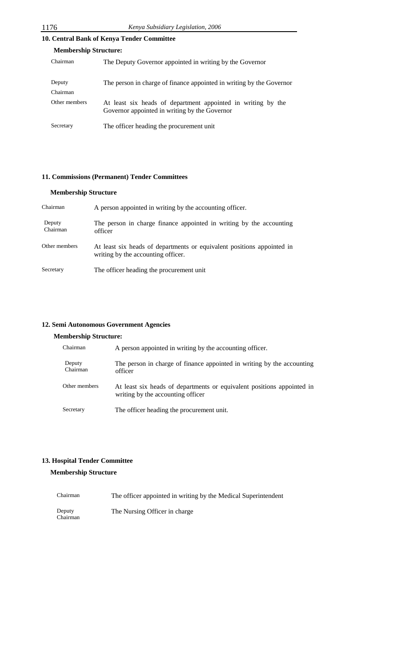## **10. Central Bank of Kenya Tender Committee**

| <b>Membership Structure:</b> |                                                                                                               |  |  |
|------------------------------|---------------------------------------------------------------------------------------------------------------|--|--|
| Chairman                     | The Deputy Governor appointed in writing by the Governor                                                      |  |  |
| Deputy<br>Chairman           | The person in charge of finance appointed in writing by the Governor                                          |  |  |
| Other members                | At least six heads of department appointed in writing by the<br>Governor appointed in writing by the Governor |  |  |
| Secretary                    | The officer heading the procurement unit                                                                      |  |  |

## **11. Commissions (Permanent) Tender Committees**

## **Membership Structure**

| Chairman           | A person appointed in writing by the accounting officer.                                                     |
|--------------------|--------------------------------------------------------------------------------------------------------------|
| Deputy<br>Chairman | The person in charge finance appointed in writing by the accounting<br>officer                               |
| Other members      | At least six heads of departments or equivalent positions appointed in<br>writing by the accounting officer. |
| Secretary          | The officer heading the procurement unit                                                                     |

#### **12. Semi Autonomous Government Agencies**

## **Membership Structure:**

| Chairman           | A person appointed in writing by the accounting officer.                                                    |
|--------------------|-------------------------------------------------------------------------------------------------------------|
| Deputy<br>Chairman | The person in charge of finance appointed in writing by the accounting<br>officer                           |
| Other members      | At least six heads of departments or equivalent positions appointed in<br>writing by the accounting officer |
| Secretary          | The officer heading the procurement unit.                                                                   |

## **13. Hospital Tender Committee**

## **Membership Structure**

| Chairman           | The officer appointed in writing by the Medical Superintendent |
|--------------------|----------------------------------------------------------------|
| Deputy<br>Chairman | The Nursing Officer in charge                                  |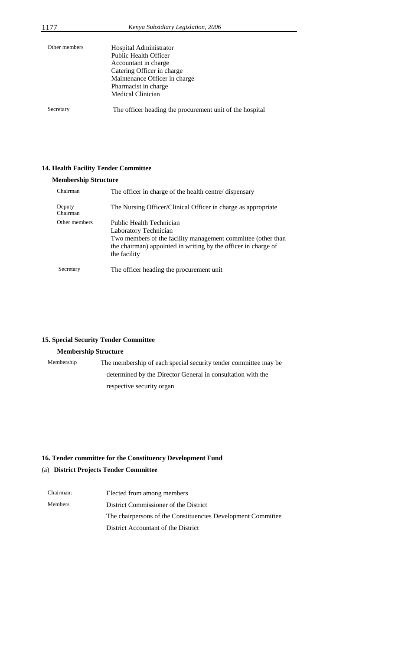| Other members | Hospital Administrator<br><b>Public Health Officer</b><br>Accountant in charge<br>Catering Officer in charge<br>Maintenance Officer in charge<br>Pharmacist in charge<br><b>Medical Clinician</b> |
|---------------|---------------------------------------------------------------------------------------------------------------------------------------------------------------------------------------------------|
| Secretary     | The officer heading the procurement unit of the hospital                                                                                                                                          |

## **14. Health Facility Tender Committee**

## **Membership Structure**

| Chairman           | The officer in charge of the health centre/ dispensary                                                                                                                                              |
|--------------------|-----------------------------------------------------------------------------------------------------------------------------------------------------------------------------------------------------|
| Deputy<br>Chairman | The Nursing Officer/Clinical Officer in charge as appropriate                                                                                                                                       |
| Other members      | Public Health Technician<br>Laboratory Technician<br>Two members of the facility management committee (other than<br>the chairman) appointed in writing by the officer in charge of<br>the facility |
| Secretary          | The officer heading the procurement unit                                                                                                                                                            |

## **15. Special Security Tender Committee**

## **Membership Structure**

| Membership | The membership of each special security tender committee may be |
|------------|-----------------------------------------------------------------|
|            | determined by the Director General in consultation with the     |
|            | respective security organ                                       |

## **16. Tender committee for the Constituency Development Fund**

## (a) **District Projects Tender Committee**

| Chairman: | Elected from among members                                   |
|-----------|--------------------------------------------------------------|
| Members   | District Commissioner of the District                        |
|           | The chairpersons of the Constituencies Development Committee |
|           | District Accountant of the District                          |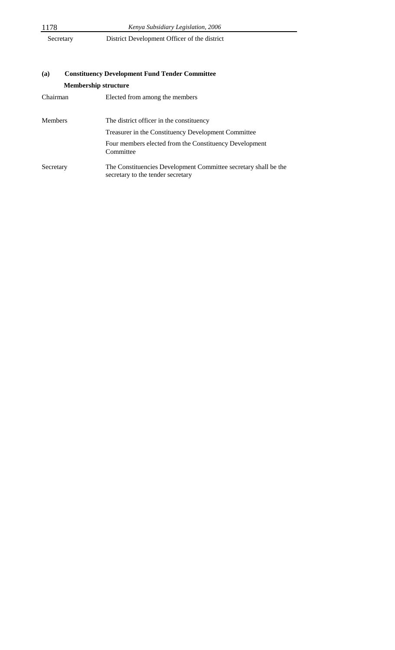| 1178 | Kenya Subsidiary Legislation, 2006         |
|------|--------------------------------------------|
|      | $\mathbf{R}$ . $\mathbf{R}$ . $\mathbf{I}$ |

Secretary District Development Officer of the district

|                             | Constructive Development I and I chaef Committee                                                     |  |
|-----------------------------|------------------------------------------------------------------------------------------------------|--|
| <b>Membership structure</b> |                                                                                                      |  |
| Chairman                    | Elected from among the members                                                                       |  |
| <b>Members</b>              | The district officer in the constituency                                                             |  |
|                             | Treasurer in the Constituency Development Committee                                                  |  |
|                             | Four members elected from the Constituency Development<br>Committee                                  |  |
| Secretary                   | The Constituencies Development Committee secretary shall be the<br>secretary to the tender secretary |  |

# **(a) Constituency Development Fund Tender Committee**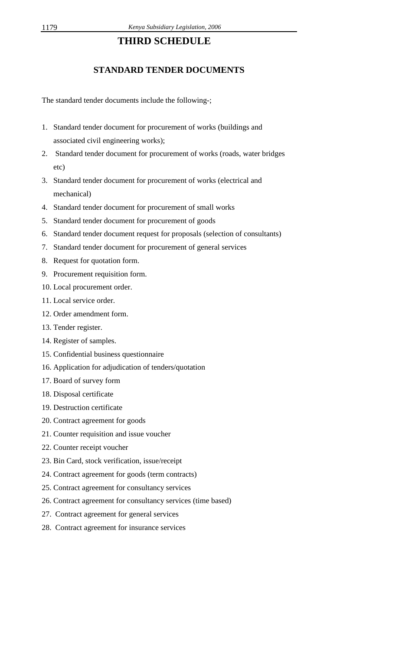## **THIRD SCHEDULE**

## **STANDARD TENDER DOCUMENTS**

The standard tender documents include the following-;

- 1. Standard tender document for procurement of works (buildings and associated civil engineering works);
- 2. Standard tender document for procurement of works (roads, water bridges etc)
- 3. Standard tender document for procurement of works (electrical and mechanical)
- 4. Standard tender document for procurement of small works
- 5. Standard tender document for procurement of goods
- 6. Standard tender document request for proposals (selection of consultants)
- 7. Standard tender document for procurement of general services
- 8. Request for quotation form.
- 9. Procurement requisition form.
- 10. Local procurement order.
- 11. Local service order.
- 12. Order amendment form.
- 13. Tender register.
- 14. Register of samples.
- 15. Confidential business questionnaire
- 16. Application for adjudication of tenders/quotation
- 17. Board of survey form
- 18. Disposal certificate
- 19. Destruction certificate
- 20. Contract agreement for goods
- 21. Counter requisition and issue voucher
- 22. Counter receipt voucher
- 23. Bin Card, stock verification, issue/receipt
- 24. Contract agreement for goods (term contracts)
- 25. Contract agreement for consultancy services
- 26. Contract agreement for consultancy services (time based)
- 27. Contract agreement for general services
- 28. Contract agreement for insurance services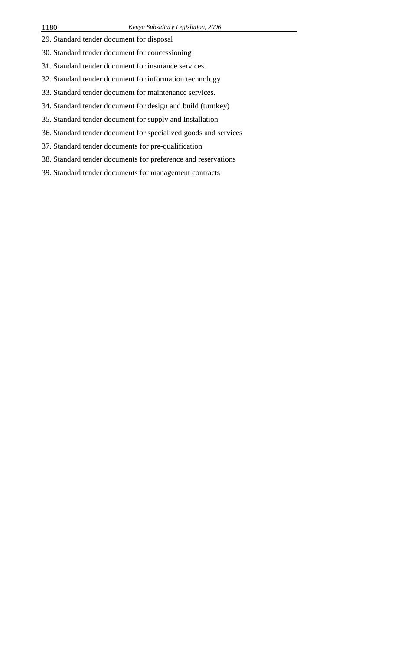- 29. Standard tender document for disposal
- 30. Standard tender document for concessioning
- 31. Standard tender document for insurance services.
- 32. Standard tender document for information technology
- 33. Standard tender document for maintenance services.
- 34. Standard tender document for design and build (turnkey)
- 35. Standard tender document for supply and Installation
- 36. Standard tender document for specialized goods and services
- 37. Standard tender documents for pre-qualification
- 38. Standard tender documents for preference and reservations
- 39. Standard tender documents for management contracts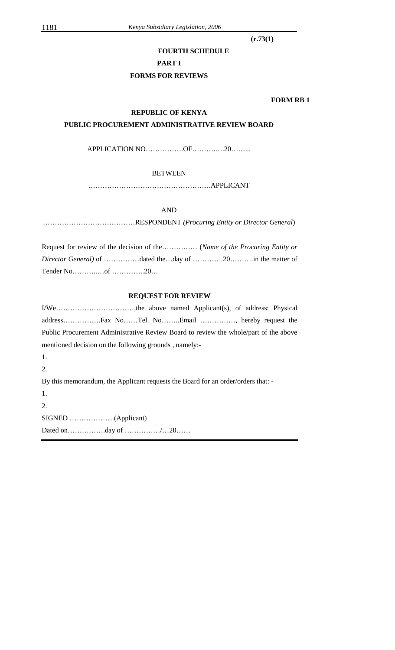**(r.73(1)** 

## **FOURTH SCHEDULE**

#### **PART I**

## **FORMS FOR REVIEWS**

 **FORM RB 1** 

## **REPUBLIC OF KENYA**

## **PUBLIC PROCUREMENT ADMINISTRATIVE REVIEW BOARD**

APPLICATION NO……………OF………….20………

## BETWEEN

…………………………………………….APPLICANT

## AND

…………………………………RESPONDENT *(Procuring Entity or Director General*)

| Request for review of the decision of the (Name of the Procuring Entity or |  |  |  |
|----------------------------------------------------------------------------|--|--|--|
| <i>Director General</i> ) of dated theday of 20in the matter of            |  |  |  |
|                                                                            |  |  |  |

## **REQUEST FOR REVIEW**

|                                                       | Public Procurement Administrative Review Board to review the whole/part of the above |
|-------------------------------------------------------|--------------------------------------------------------------------------------------|
| mentioned decision on the following grounds, namely:- |                                                                                      |
| 1.                                                    |                                                                                      |
| 2.                                                    |                                                                                      |
|                                                       | By this memorandum, the Applicant requests the Board for an order/orders that: -     |
| 1.                                                    |                                                                                      |
| 2.                                                    |                                                                                      |
|                                                       |                                                                                      |
|                                                       |                                                                                      |
|                                                       |                                                                                      |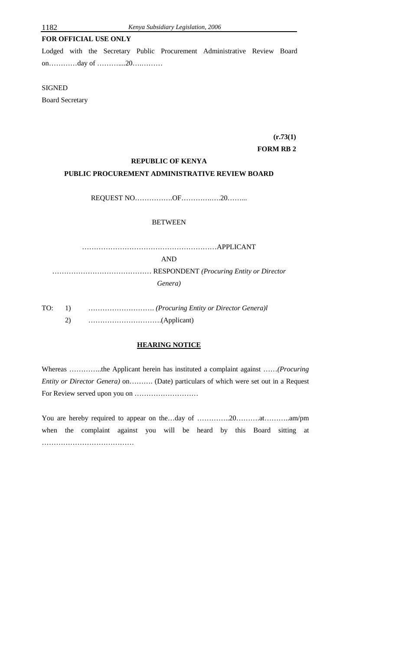## **FOR OFFICIAL USE ONLY**

Lodged with the Secretary Public Procurement Administrative Review Board on…………day of ………....20….………

#### **SIGNED**

Board Secretary

# **(r.73(1)**

## **FORM RB 2**

#### **REPUBLIC OF KENYA**

## **PUBLIC PROCUREMENT ADMINISTRATIVE REVIEW BOARD**

REQUEST NO…………….OF………….….20……...

## BETWEEN

…………………………………………………APPLICANT AND …………………………………… RESPONDENT *(Procuring Entity or Director Genera)* 

TO: 1) ………………………. *(Procuring Entity or Director Genera)l* 2) ………………………….(Applicant)

## **HEARING NOTICE**

Whereas …………..the Applicant herein has instituted a complaint against ……*(Procuring Entity or Director Genera)* on………. (Date) particulars of which were set out in a Request For Review served upon you on ………………………

You are hereby required to appear on the…day of …………..20……….at………..am/pm when the complaint against you will be heard by this Board sitting at ……………………………………………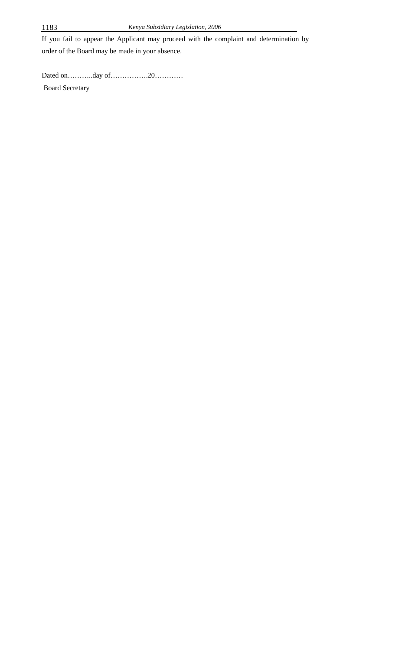If you fail to appear the Applicant may proceed with the complaint and determination by order of the Board may be made in your absence.

Dated on………..day of…………….20…………

Board Secretary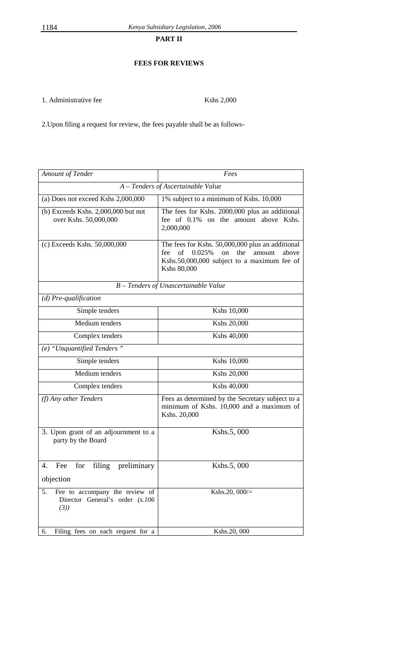**PART II** 

## **FEES FOR REVIEWS**

1. Administrative fee Kshs 2,000

2.Upon filing a request for review, the fees payable shall be as follows-

| Amount of Tender                                                               | Fees                                                                                                                                                                             |  |  |  |  |  |
|--------------------------------------------------------------------------------|----------------------------------------------------------------------------------------------------------------------------------------------------------------------------------|--|--|--|--|--|
| A - Tenders of Ascertainable Value                                             |                                                                                                                                                                                  |  |  |  |  |  |
| (a) Does not exceed Kshs 2,000,000                                             | 1% subject to a minimum of Kshs. 10,000                                                                                                                                          |  |  |  |  |  |
| $(b)$ Exceeds Kshs. 2,000,000 but not<br>over Kshs. 50,000,000                 | The fees for Kshs. 2000,000 plus an additional<br>fee of $0.1\%$<br>on the amount above Kshs.<br>2,000,000                                                                       |  |  |  |  |  |
| (c) Exceeds Kshs. 50,000,000                                                   | The fees for Kshs. 50,000,000 plus an additional<br>of<br>0.025%<br>the<br><sub>on</sub><br>above<br>fee<br>amount<br>Kshs.50,000,000 subject to a maximum fee of<br>Kshs 80,000 |  |  |  |  |  |
| B - Tenders of Unascertainable Value                                           |                                                                                                                                                                                  |  |  |  |  |  |
| $(d)$ Pre-qualification                                                        |                                                                                                                                                                                  |  |  |  |  |  |
| Simple tenders                                                                 | Kshs 10,000                                                                                                                                                                      |  |  |  |  |  |
| Medium tenders                                                                 | Kshs 20,000                                                                                                                                                                      |  |  |  |  |  |
| Complex tenders                                                                | Kshs 40,000                                                                                                                                                                      |  |  |  |  |  |
| $(e)$ "Unquantified Tenders"                                                   |                                                                                                                                                                                  |  |  |  |  |  |
| Simple tenders                                                                 | Kshs 10,000                                                                                                                                                                      |  |  |  |  |  |
| Medium tenders                                                                 | Kshs 20,000                                                                                                                                                                      |  |  |  |  |  |
| Complex tenders                                                                | Kshs 40,000                                                                                                                                                                      |  |  |  |  |  |
| (f) Any other Tenders                                                          | Fees as determined by the Secretary subject to a<br>minimum of Kshs. 10,000 and a maximum of<br>Kshs. 20,000                                                                     |  |  |  |  |  |
| 3. Upon grant of an adjournment to a<br>party by the Board                     | Kshs.5,000                                                                                                                                                                       |  |  |  |  |  |
| for filing preliminary<br>Fee<br>4.                                            | Kshs.5,000                                                                                                                                                                       |  |  |  |  |  |
| objection                                                                      |                                                                                                                                                                                  |  |  |  |  |  |
| Fee to accompany the review of<br>5.<br>Director General's order (s.106<br>(3) | Kshs.20, 000/=                                                                                                                                                                   |  |  |  |  |  |
| Filing fees on each request for a<br>6.                                        | Kshs.20, 000                                                                                                                                                                     |  |  |  |  |  |